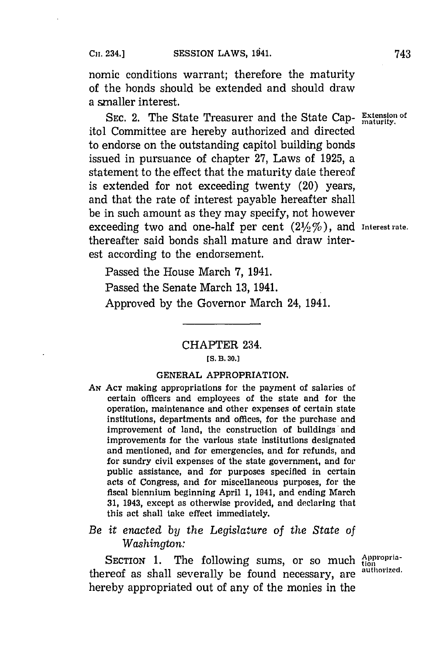nomic conditions warrant; therefore the maturity of the bonds should be extended and should draw a smaller interest.

SEC. 2. The State Treasurer and the State Cap- Extension of itol Committee are hereby authorized and directed to endorse on the outstanding capitol building bonds issued in pursuance of chapter **27,** Laws of **1925,** a statement to the effect that the maturity date thereof is extended for not exceeding twenty (20) years, and that the rate of interest payable hereafter shall be in such amount as they may specify, not however exceeding two and one-half per cent (21/2%), and Interest rate. thereafter said bonds shall mature and draw interest according to the endorsement.

Passed the House March **7,** 1941. Passed the Senate March **13,** 1941. Approved **by** the Governor March 24, 1941.

# CHAPTER 234. **[5. B. 30.]**

## **GENERAL** APPROPRIATION.

**AN ACT** making appropriations for the payment of salaries of certain officers and employees of the state and for the operation, maintenance and other expenses of certain state institutions, departments and offices, for the purchase and improvement of land, the construction of buildings'and improvements for the various state institutions designated and mentioned, and for emergencies, and for refunds, and for sundry civil expenses of the state government, and for public assistance, and for purposes specified in certain acts of Congress, and for miscellaneous purposes, for the fiscal biennium beginning April **1,** 1941, and ending March **31,** 1943, except as otherwise provided, and declaring that this act shall take effect immediately.

# *Be it enacted by the Legislature of the State of Washington:*

SECTION 1. The following sums, or so much dippropria-<br>reof as shall severally be found necessary are <sup>authorized.</sup> thereof as shall severally be found necessary, are hereby appropriated out of any of the monies in the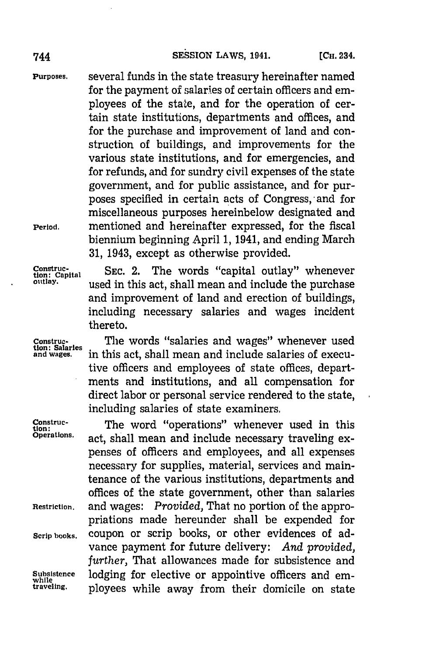**Purposes,** several funds in the state treasury hereinafter named for the payment of salaries of certain officers and employees of the state, and for the operation of certain state institutions, departments and offices, and for the purchase and improvement of land and construction of buildings, and improvements for the various state institutions, and for emergencies, and for refunds, and for sundry civil expenses of the state government, and for public assistance, and for purposes specified in certain acts of Congress, and for miscellaneous purposes hereinbelow designated and **Period,** mentioned and hereinafter expressed, for the fiscal biennium beginning April **1,** 1941, and ending March **31,** 1943, except as otherwise provided.

**Construc-**<br> **Construction: Capital SEC. 2.** The words "capital outlay" whenever<br>
putlay.<br> **Construction:**<br> **Construction:** used in this act, shall mean and include the purchase and improvement of land and erection of buildings, including necessary salaries and wages incident thereto.

Construc-<br> **1**The words "salaries and wages" whenever used<br> **1** and wages. in this act, shall mean and include salaries of execuin this act, shall mean and include salaries of executive officers and employees of state offices, departments and institutions, and all compensation for direct labor or personal service rendered to the state, including salaries of state examiners.

**Construc-**<br> **Construc- The word "operations"** whenever used in this operations.<br> **Operations.** and the linear and include necessary traveling or act, shall mean and include necessary traveling expenses of officers and employees, and all expenses necessary for supplies, material, services and maintenance of the various institutions, departments and offices of the state government, other than salaries **Restriction,** and wages: *Provided,* That no portion of the appropriations made hereunder shall be expended for **Scrip books,** coupon or scrip books, or other evidences of advance payment for future delivery: *And provided, further,* That allowances made for subsistence and Subsistence lodging for elective or appointive officers and em-<br>while **property** the **property** from their domicile on state ployees while away from their domicile on state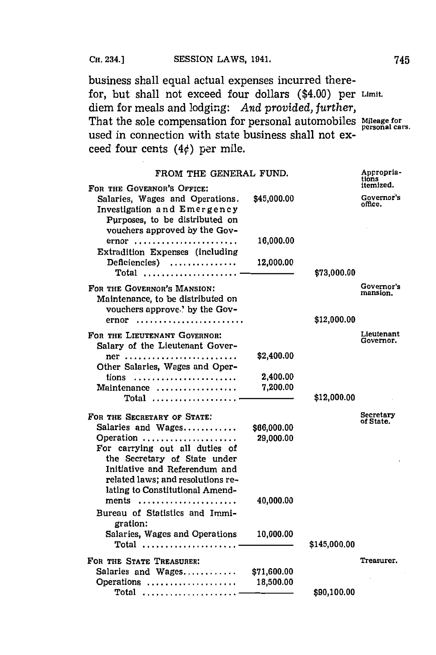**CH.** 234.] **SESSION** LAWS, 1941. 745

business shall equal actual expenses incurred therefor, but shall not exceed four dollars (\$4.00) per Limit. diem for meals and lodging: *And provided, further,* That the sole compensation for personal automobiles Mileage for personal cars. used in connection with state business shall not exceed four cents  $(4¢)$  per mile.

| FROM THE GENERAL FUND.                                                                                                                                          |             |              | Appropria-<br>tions<br>itemized. |
|-----------------------------------------------------------------------------------------------------------------------------------------------------------------|-------------|--------------|----------------------------------|
| FOR THE GOVERNOR'S OFFICE:<br>Salaries, Wages and Operations.<br>Investigation and Emergency<br>Purposes, to be distributed on<br>vouchers approved by the Gov- | \$45,000.00 |              | Governor's<br>office.            |
| ernor<br>Extradition Expenses (including                                                                                                                        | 16,000.00   |              |                                  |
| Deficiencies)<br>$\text{Total}$                                                                                                                                 | 12,000.00   | \$73,000.00  |                                  |
| FOR THE GOVERNOR'S MANSION:<br>Maintenance, to be distributed on<br>vouchers approve.' by the Gov-                                                              |             |              | Governor's<br>mansion.           |
|                                                                                                                                                                 |             | \$12,000.00  |                                  |
| FOR THE LIEUTENANT GOVERNOR:<br>Salary of the Lieutenant Gover-                                                                                                 |             |              | Lieutenant<br>Governor.          |
| $ner \dots \dots \dots \dots \dots \dots \dots \dots \dots \dots$<br>Other Salaries, Wages and Oper-                                                            | \$2,400.00  |              |                                  |
| tions                                                                                                                                                           | 2,400.00    |              |                                  |
| Maintenance<br>Total                                                                                                                                            | 7.200.00    | \$12,000.00  |                                  |
| FOR THE SECRETARY OF STATE:                                                                                                                                     |             |              | Secretary                        |
| Salaries and Wages                                                                                                                                              | \$66,000.00 |              | of State.                        |
| Operation                                                                                                                                                       | 29,000.00   |              |                                  |
| For carrying out all duties of                                                                                                                                  |             |              |                                  |
| the Secretary of State under                                                                                                                                    |             |              |                                  |
| Initiative and Referendum and                                                                                                                                   |             |              |                                  |
| related laws; and resolutions re-                                                                                                                               |             |              |                                  |
| lating to Constitutional Amend-                                                                                                                                 |             |              |                                  |
| ments                                                                                                                                                           | 40,000.00   |              |                                  |
| Bureau of Statistics and Immi-<br>gration:                                                                                                                      |             |              |                                  |
| Salaries, Wages and Operations<br>$Total$                                                                                                                       | 10,000.00   | \$145,000.00 |                                  |
| FOR THE STATE TREASURER:                                                                                                                                        |             |              | Treasurer.                       |
| Salaries and Wages                                                                                                                                              | \$71,600.00 |              |                                  |
| Operations                                                                                                                                                      | 18,500.00   |              |                                  |
| Total                                                                                                                                                           |             | \$90,100.00  |                                  |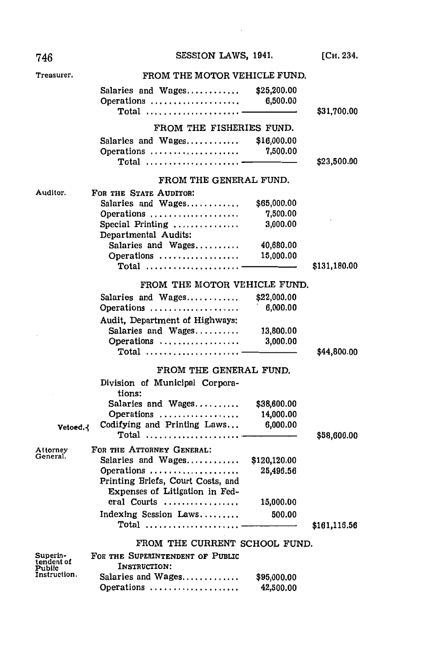| 746                              | SESSION LAWS, 1941.                                                                                                             |                                      | [Сн. 234.    |
|----------------------------------|---------------------------------------------------------------------------------------------------------------------------------|--------------------------------------|--------------|
| Treasurer.                       | FROM THE MOTOR VEHICLE FUND.                                                                                                    |                                      |              |
|                                  | Salaries and $Wages$ , , ,<br>Operations<br>$\textbf{Total}$                                                                    | \$25,200.00<br>6,500.00              | \$31,700.00  |
|                                  | FROM THE FISHERIES FUND.                                                                                                        |                                      |              |
|                                  | Salaries and Wages<br>Operations<br>$Total$                                                                                     | \$16,000.00<br>7,500.00              | \$23,500.00  |
|                                  | FROM THE GENERAL FUND.                                                                                                          |                                      |              |
| Auditor.                         | FOR THE STATE AUDITOR:                                                                                                          |                                      |              |
|                                  | Salaries and Wages<br>Operations<br>Special Printing<br>Departmental Audits:                                                    | \$65,000.00<br>7,500.00<br>3,000.00  |              |
|                                  | Salaries and Wages<br>Operations                                                                                                | 40,680.00<br>15,000.00               |              |
|                                  | $\textbf{Total}$                                                                                                                |                                      | \$131,180.00 |
|                                  | FROM THE MOTOR VEHICLE FUND.                                                                                                    |                                      |              |
|                                  | Salaries and Wages                                                                                                              | \$22,000.00                          |              |
|                                  | Operations                                                                                                                      | 6,000.00                             |              |
|                                  | Audit, Department of Highways:<br>Salaries and Wages<br>Operations                                                              | 13,800.00<br>3,000.00                |              |
|                                  | Total                                                                                                                           |                                      | \$44,800.00  |
|                                  | FROM THE GENERAL FUND.                                                                                                          |                                      |              |
| Vetoed.                          | Division of Municipal Corpora-<br>tions:<br>Salaries and Wages<br>Operations<br>Codifying and Printing Laws<br>$\textbf{Total}$ | \$38,600.00<br>14,000.00<br>6,000.00 | \$58,600.00  |
| Attorney                         | FOR THE ATTORNEY GENERAL:                                                                                                       |                                      |              |
| General.                         | Salaries and Wages<br>Operations<br>Printing Briefs, Court Costs, and<br>Expenses of Litigation in Fed-                         | \$120,120.00<br>25,496.56            |              |
|                                  | eral Courts                                                                                                                     | 15,000.00                            |              |
|                                  | Indexing Session Laws<br>Total                                                                                                  | 500.00                               | \$161,116.56 |
|                                  | FROM THE CURRENT SCHOOL FUND.                                                                                                   |                                      |              |
| Superin-<br>tendent of<br>Pubiic | FOR THE SUPERINTENDENT OF PUBLIC<br>INSTRUCTION:                                                                                |                                      |              |
| Instruction.                     | Salaries and Wages<br>Operations                                                                                                | \$95,000.00<br>42,500.00             |              |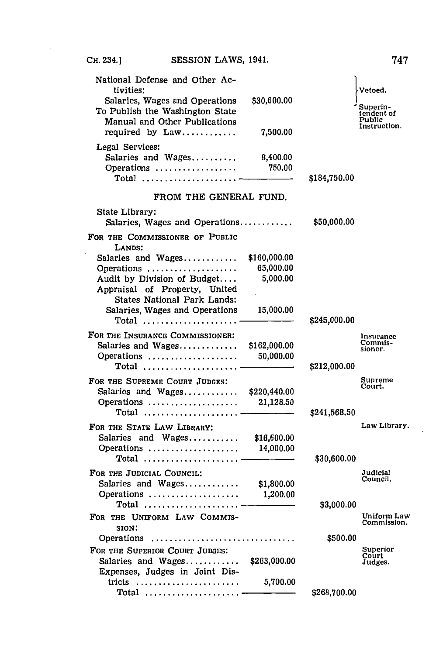C<sub>H</sub>. 234.1 SESSION LAWS, 1941.

| National Defense and Other Ac-<br>tivities:                                                        |              |              | Vetoed.                         |
|----------------------------------------------------------------------------------------------------|--------------|--------------|---------------------------------|
| Salaries, Wages and Operations<br>To Publish the Washington State<br>Manual and Other Publications | \$30,600.00  |              | Superin-<br>endent of<br>Public |
| required by Law                                                                                    | 7,500.00     |              | Instruction.                    |
| Legal Services:<br>Salaries and Wages                                                              | 8,400.00     |              |                                 |
| Operations                                                                                         | 750.00       |              |                                 |
| Total                                                                                              |              | \$184,750.00 |                                 |
| FROM THE GENERAL FUND.                                                                             |              |              |                                 |
| State Library:                                                                                     |              |              |                                 |
| Salaries, Wages and Operations                                                                     |              | \$50,000.00  |                                 |
| FOR THE COMMISSIONER OF PUBLIC<br>LANDS:                                                           |              |              |                                 |
| Salaries and Wages                                                                                 | \$160,000.00 |              |                                 |
| Operations                                                                                         | 65,000.00    |              |                                 |
| Audit by Division of Budget                                                                        | 5,000.00     |              |                                 |
| Appraisal of Property, United                                                                      |              |              |                                 |
| <b>States National Park Lands:</b>                                                                 |              |              |                                 |
| Salaries, Wages and Operations                                                                     | 15,000.00    |              |                                 |
| Total $\overline{\phantom{iiiiiiiiiiiiiiiiiiiiiiiiiiiiiiiiiiiiiiiiii}}$                            |              | \$245,000.00 |                                 |
| FOR THE INSURANCE COMMISSIONER:                                                                    |              |              | Insurance                       |
| Salaries and Wages                                                                                 | \$162,000.00 |              | Commis-<br>sioner.              |
| Operations                                                                                         | 50,000.00    |              |                                 |
| Total                                                                                              |              | \$212,000.00 |                                 |
| FOR THE SUPREME COURT JUDGES:                                                                      |              |              | Supreme<br>Court.               |
| Salaries and Wages                                                                                 | \$220,440.00 |              |                                 |
| Operations                                                                                         | 21,128.50    |              |                                 |
| $Total$                                                                                            |              | \$241,568.50 |                                 |
| FOR THE STATE LAW LIBRARY:                                                                         |              |              | Law Library                     |
| Salaries and Wages                                                                                 | \$16,600.00  |              |                                 |
| Operations                                                                                         | 14,000.00    |              |                                 |
| Total $\ldots \ldots \ldots \ldots \ldots \ldots$                                                  |              | \$30,600.00  |                                 |
| FOR THE JUDICIAL COUNCIL:                                                                          |              |              | Judicial                        |
| Salaries and Wages                                                                                 | \$1,800.00   |              | Council.                        |
| Operations                                                                                         | 1,200.00     |              |                                 |
| Total                                                                                              |              | \$3,000.00   |                                 |
| FOR THE UNIFORM LAW COMMIS-                                                                        |              |              | Uniform Lay                     |
| SION:                                                                                              |              |              | Commission                      |
| Operations                                                                                         |              | \$500.00     |                                 |
| FOR THE SUPERIOR COURT JUDGES:                                                                     |              |              | Superior<br>Court               |
| Salaries and Wages                                                                                 | \$263,000.00 |              | Judges.                         |
| Expenses, Judges in Joint Dis-                                                                     |              |              |                                 |
| tricts                                                                                             | 5,700.00     |              |                                 |
| Total                                                                                              |              | \$268,700.00 |                                 |

747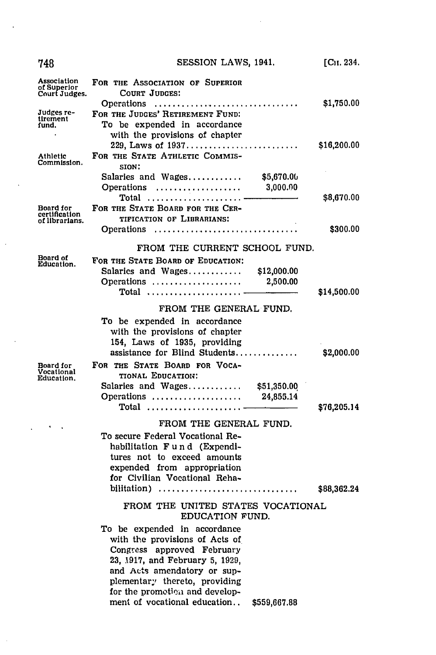| 748                                          | SESSION LAWS, 1941.                                                                                                                                                                                                                                                               | [ <b>C</b> 11.234.] |
|----------------------------------------------|-----------------------------------------------------------------------------------------------------------------------------------------------------------------------------------------------------------------------------------------------------------------------------------|---------------------|
| Association<br>of Superior<br>Court Judges.  | FOR THE ASSOCIATION OF SUPERIOR<br>COURT JUDGES:<br>Operations                                                                                                                                                                                                                    | \$1,750.00          |
| Judges re-<br>tirement<br>fund.              | FOR THE JUDGES' RETIREMENT FUND:<br>To be expended in accordance<br>with the provisions of chapter                                                                                                                                                                                |                     |
| Athletic<br>Commission.                      | FOR THE STATE ATHLETIC COMMIS-<br>SION:                                                                                                                                                                                                                                           | \$16,200.00         |
|                                              | Salaries and Wages<br>\$5,670.00<br>3,000.00<br>Operations<br>Total                                                                                                                                                                                                               | \$8,670.00          |
| Board for<br>certification<br>of librarians. | FOR THE STATE BOARD FOR THE CER-<br>TIFICATION OF LIBRARIANS!<br>Operations                                                                                                                                                                                                       | \$300.00            |
|                                              |                                                                                                                                                                                                                                                                                   |                     |
| Board of                                     | FROM THE CURRENT SCHOOL FUND.<br>FOR THE STATE BOARD OF EDUCATION:                                                                                                                                                                                                                |                     |
| Education.                                   | Salaries and Wages<br>\$12,000.00<br>Operations<br>2,500.00<br>Total                                                                                                                                                                                                              | \$14,500.00         |
|                                              | FROM THE GENERAL FUND.                                                                                                                                                                                                                                                            |                     |
|                                              | To be expended in accordance<br>with the provisions of chapter<br>154, Laws of 1935, providing<br>assistance for Blind Students                                                                                                                                                   | \$2,000.00          |
| Board for<br>Vocational<br>Education.        | FOR THE STATE BOARD FOR VOCA-<br>TIONAL EDUCATION:<br>Salaries and Wages \$51,350.00<br>Operations<br>24,855.14<br>Total                                                                                                                                                          | \$76,205.14         |
|                                              | FROM THE GENERAL FUND.                                                                                                                                                                                                                                                            |                     |
|                                              | To secure Federal Vocational Re-<br>habilitation Fund (Expendi-<br>tures not to exceed amounts<br>expended from appropriation<br>for Civilian Vocational Reha-<br>bilitation)                                                                                                     | \$88,362.24         |
|                                              | FROM THE UNITED STATES VOCATIONAL<br>EDUCATION FUND.                                                                                                                                                                                                                              |                     |
|                                              | To be expended in accordance<br>with the provisions of Acts of<br>Congress approved February<br>23, 1917, and February 5, 1929,<br>and Acts amendatory or sup-<br>plementary thereto, providing<br>for the promotion and develop-<br>ment of vocational education<br>\$559,667.88 |                     |

 $\mathcal{L}^{\text{max}}_{\text{max}}$  and  $\mathcal{L}^{\text{max}}_{\text{max}}$ 

 $\bar{\beta}$ 

 $\mathcal{L}_{\mathcal{A}}$ 

 $\sim$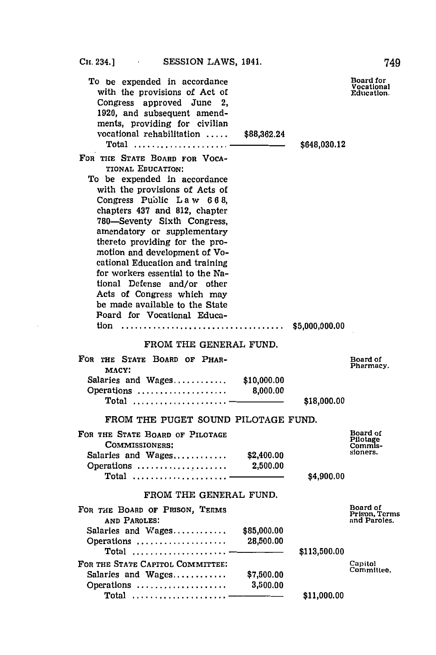| PRODUCTS HOUSE TOIL                                                                                                                                                                                                                                                                                                                                                                                                                                                                    |                          |              | 149                                         |
|----------------------------------------------------------------------------------------------------------------------------------------------------------------------------------------------------------------------------------------------------------------------------------------------------------------------------------------------------------------------------------------------------------------------------------------------------------------------------------------|--------------------------|--------------|---------------------------------------------|
| To be expended in accordance<br>with the provisions of Act of<br>Congress approved June 2,<br>1920, and subsequent amend-<br>ments, providing for civilian<br>vocational rehabilitation<br>Total $\ldots \ldots \ldots \ldots \ldots$<br>FOR THE STATE BOARD FOR VOCA-                                                                                                                                                                                                                 | \$88,362.24              | \$648,030.12 | Board for<br>Vocational<br>Education.       |
| TIONAL EDUCATION:<br>To be expended in accordance<br>with the provisions of Acts of<br>Congress Public Law 668,<br>chapters 437 and 812, chapter<br>780-Seventy Sixth Congress,<br>amendatory or supplementary<br>thereto providing for the pro-<br>motion and development of Vo-<br>cational Education and training<br>for workers essential to the Na-<br>tional Defense and/or other<br>Acts of Congress which may<br>be made available to the State<br>Poard for Vocational Educa- |                          |              |                                             |
| FROM THE GENERAL FUND.                                                                                                                                                                                                                                                                                                                                                                                                                                                                 |                          |              |                                             |
| FOR THE STATE BOARD OF PHAR-<br>MACY:                                                                                                                                                                                                                                                                                                                                                                                                                                                  |                          |              | Board of<br>Pharmacy.                       |
| Salaries and Wages $$10,000.00$<br>Operations<br>Total                                                                                                                                                                                                                                                                                                                                                                                                                                 | 8,000.00                 | \$18,000.00  |                                             |
| FROM THE PUGET SOUND PILOTAGE FUND.                                                                                                                                                                                                                                                                                                                                                                                                                                                    |                          |              |                                             |
| FOR THE STATE BOARD OF PILOTAGE<br>COMMISSIONERS:<br>Salaries and Wages<br>Operations                                                                                                                                                                                                                                                                                                                                                                                                  | \$2,400.00<br>2,500.00   |              | Board of<br>Pilotage<br>Commis-<br>sioners. |
| $Total$                                                                                                                                                                                                                                                                                                                                                                                                                                                                                |                          | \$4,900.00   |                                             |
| FROM THE GENERAL FUND.                                                                                                                                                                                                                                                                                                                                                                                                                                                                 |                          |              |                                             |
| FOR THE BOARD OF PRISON, TERMS<br>AND PAROLES:                                                                                                                                                                                                                                                                                                                                                                                                                                         |                          |              | Board of<br>Prison, Terms<br>and Paroles.   |
| Salaries and Wages<br>Operations                                                                                                                                                                                                                                                                                                                                                                                                                                                       | \$85,000.00<br>28,500.00 |              |                                             |
| Total<br>FOR THE STATE CAPITOL COMMITTEE:                                                                                                                                                                                                                                                                                                                                                                                                                                              |                          | \$113,500.00 |                                             |
| Salaries and Wages<br>Operations                                                                                                                                                                                                                                                                                                                                                                                                                                                       | \$7,500.00<br>3,500.00   |              | Capitol<br>Committee.                       |
| Total                                                                                                                                                                                                                                                                                                                                                                                                                                                                                  |                          | \$11,000.00  |                                             |

749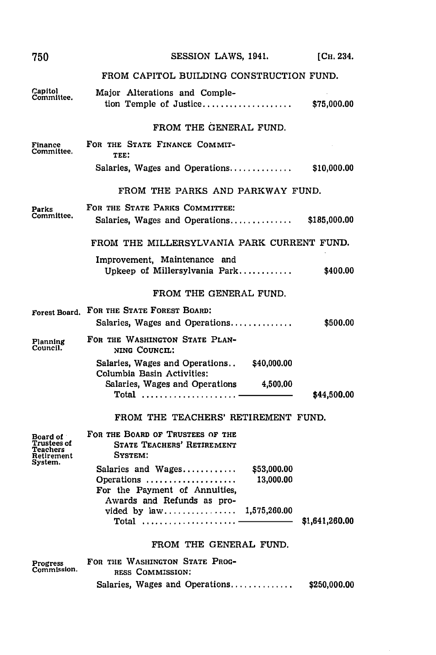| 750                                               | SESSION LAWS, 1941.                                                                                                    | [Сн. 234.      |
|---------------------------------------------------|------------------------------------------------------------------------------------------------------------------------|----------------|
|                                                   | FROM CAPITOL BUILDING CONSTRUCTION FUND.                                                                               |                |
| Capitol<br>Committee.                             | Major Alterations and Comple-<br>tion Temple of Justice                                                                | \$75,000.00    |
|                                                   | FROM THE GENERAL FUND.                                                                                                 |                |
| Finance<br>Committee.                             | FOR THE STATE FINANCE COMMIT-<br>TEE:                                                                                  |                |
|                                                   | Salaries, Wages and Operations                                                                                         | \$10,000.00    |
|                                                   | FROM THE PARKS AND PARKWAY FUND.                                                                                       |                |
| Parks<br>Committee.                               | FOR THE STATE PARKS COMMITTEE:<br>Salaries, Wages and Operations $$185,000.00$                                         |                |
|                                                   | FROM THE MILLERSYLVANIA PARK CURRENT FUND.                                                                             |                |
|                                                   | Improvement, Maintenance and<br>Upkeep of Millersylvania Park                                                          | \$400.00       |
|                                                   | FROM THE GENERAL FUND.                                                                                                 |                |
| Forest Board.                                     | FOR THE STATE FOREST BOARD:<br>Salaries, Wages and Operations                                                          | \$500.00       |
| Planning<br>Council.                              | FOR THE WASHINGTON STATE PLAN-<br>NING COUNCIL:                                                                        |                |
|                                                   | Salaries, Wages and Operations \$40,000.00<br>Columbia Basin Activities:<br>Salaries, Wages and Operations<br>4,500.00 |                |
|                                                   | $\text{Total}$                                                                                                         | \$44,500.00    |
|                                                   | FROM THE TEACHERS' RETIREMENT FUND.                                                                                    |                |
| Board of<br>Trustees of<br>Teachers<br>Retirement | FOR THE BOARD OF TRUSTEES OF THE<br><b>STATE TEACHERS' RETIREMENT</b><br>SYSTEM:                                       |                |
| System.                                           | Salaries and Wages<br>\$53,000.00<br>Operations<br>13,000.00<br>For the Payment of Annuities,                          |                |
|                                                   | Awards and Refunds as pro-<br>vided by law 1,575,260.00<br>Total                                                       | \$1,641,260.00 |
|                                                   | FROM THE GENERAL FUND.                                                                                                 |                |
| Progress<br>Commission.                           | FOR THE WASHINGTON STATE PROG-                                                                                         |                |
|                                                   | RESS COMMISSION:<br>Salaries, Wages and Operations                                                                     | \$250,000.00   |
|                                                   |                                                                                                                        |                |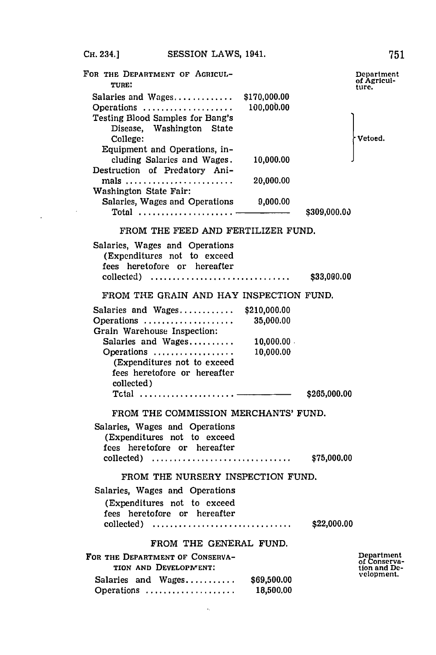| FOR THE DEPARTMENT OF AGRICUL-<br>TURE:<br>\$170,000.00                                                                                                                                                           | Department<br>of Agricul-<br>ture.                       |
|-------------------------------------------------------------------------------------------------------------------------------------------------------------------------------------------------------------------|----------------------------------------------------------|
| 100,000.00<br>Operations<br>Testing Blood Samples for Bang's<br>Disease, Washington State<br>College:                                                                                                             | Vetoed.                                                  |
| Equipment and Operations, in-<br>10,000.00<br>cluding Salaries and Wages.<br>Destruction of Predatory Ani-                                                                                                        |                                                          |
| mals<br>20,000.00<br>Washington State Fair:                                                                                                                                                                       |                                                          |
| Salaries, Wages and Operations 9,000.00                                                                                                                                                                           | \$309,000.00                                             |
| FROM THE FEED AND FERTILIZER FUND.                                                                                                                                                                                |                                                          |
| Salaries, Wages and Operations<br>(Expenditures not to exceed<br>fees heretofore or hereafter<br>collected)                                                                                                       | \$33,000.00                                              |
| FROM THE GRAIN AND HAY INSPECTION FUND.                                                                                                                                                                           |                                                          |
| \$210,000.00<br>Operations<br>35,000.00<br>Grain Warehouse Inspection:<br>Salaries and Wages<br>10,000.00<br>Operations<br>10,000.00<br>(Expenditures not to exceed<br>fees heretofore or hereafter<br>collected) |                                                          |
|                                                                                                                                                                                                                   | \$265,000.00                                             |
| FROM THE COMMISSION MERCHANTS' FUND.<br>Salaries, Wages and Operations<br>(Expenditures not to exceed<br>fees heretofore or hereafter<br>collected)                                                               | \$75,000.00                                              |
| FROM THE NURSERY INSPECTION FUND.                                                                                                                                                                                 |                                                          |
| Salaries, Wages and Operations                                                                                                                                                                                    |                                                          |
| (Expenditures not to exceed<br>fees heretofore or hereafter<br>collected)                                                                                                                                         | \$22,000.00                                              |
| FROM THE GENERAL FUND.                                                                                                                                                                                            |                                                          |
| FOR THE DEPARTMENT OF CONSERVA-<br>TION AND DEVELOPMENT:                                                                                                                                                          | Department<br>of Conserva-<br>tion and De-<br>velopment. |
| Salaries and Wages<br>\$69,500.00<br>18,500.00<br>Operations                                                                                                                                                      |                                                          |

 $\sim 10^{11}$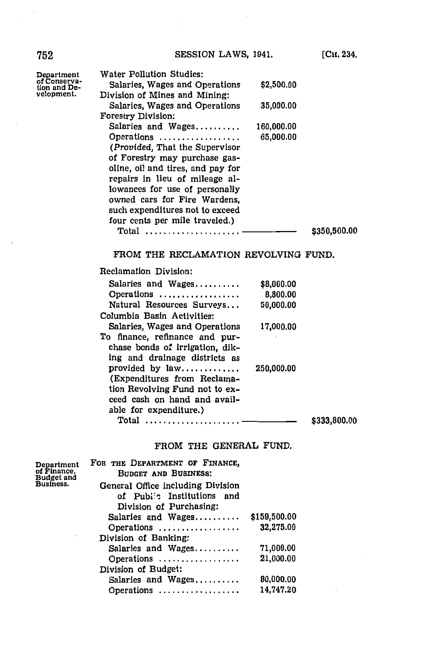**752 SESSION LAWS, 1941.** [Сн. 234.

| Department                   | Water Pollution Studies:                  |            |              |
|------------------------------|-------------------------------------------|------------|--------------|
| of Conserva-<br>tion and De- | Salaries, Wages and Operations            | \$2,500.00 |              |
| velopment.                   | Division of Mines and Mining:             |            |              |
|                              | Salaries, Wages and Operations            | 35,000.00  |              |
|                              | <b>Forestry Division:</b>                 |            |              |
|                              | Salaries and Wages                        | 160,000.00 |              |
|                              | Operations $\ldots$ ,,,,,,,,,,,,,,,,,,,,, | 65,000.00  |              |
|                              | (Provided, That the Supervisor            |            |              |
|                              | of Forestry may purchase gas-             |            |              |
|                              | oline, oil and tires, and pay for         |            |              |
|                              | repairs in lieu of mileage al-            |            |              |
|                              | lowances for use of personally            |            |              |
|                              | owned cars for Fire Wardens.              |            |              |
|                              | such expenditures not to exceed           |            |              |
|                              | four cents per mile traveled.)            |            |              |
|                              | Total<br>.                                |            | \$350,500.00 |
|                              |                                           |            |              |

## FROM THE RECLAMATION REVOLVING **FUND.**

# Reclamation Division:

| Salaries and Wages              | \$8,000.00 |              |
|---------------------------------|------------|--------------|
|                                 | 8,800.00   |              |
| Natural Resources Surveys       | 50,000.00  |              |
| Columbia Basin Activities:      |            |              |
| Salaries, Wages and Operations  | 17,000.00  |              |
| To finance, refinance and pur-  |            |              |
| chase bonds of irrigation, dik- |            |              |
| ing and drainage districts as   |            |              |
| provided by $law$               | 250,000.00 |              |
| (Expenditures from Reclama-     |            |              |
| tion Revolving Fund not to ex-  |            |              |
| ceed cash on hand and avail-    |            |              |
| able for expenditure.)          |            |              |
| Total                           |            | \$333,800.00 |
|                                 |            |              |

## FROM THE **GENERAL FUND.**

| Department              | FOR THE DEPARTMENT OF FINANCE,           |              |
|-------------------------|------------------------------------------|--------------|
| of Finance,             | <b>BUDGET AND BUSINESS:</b>              |              |
| Budget and<br>Business. | General Office including Division        |              |
|                         | of Publes Institutions and               |              |
|                         | Division of Purchasing:                  |              |
|                         | Salaries and Wages                       | \$159,500.00 |
|                         | Operations $\ldots \ldots \ldots \ldots$ | 32,275.00    |
|                         | Division of Banking:                     |              |
|                         | Salaries and Wages                       | 71,000.00    |
|                         | Operations                               | 21,000.00    |
|                         | Division of Budget:                      |              |
|                         | Salaries and Wages                       | 80,000.00    |
|                         | Operations                               | 14,747.20    |
|                         |                                          |              |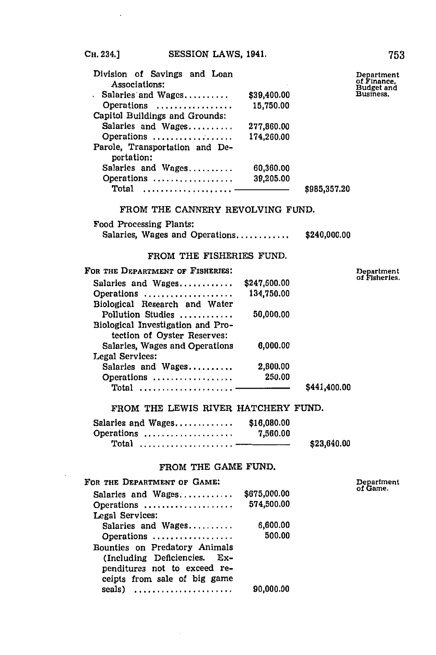| Division of Savings and Loan<br>Associations: |             | Department<br>of Finance. |  |
|-----------------------------------------------|-------------|---------------------------|--|
| Salaries and Wages                            | \$39,400.00 | Budget and<br>Business.   |  |
| Operations                                    | 15,750.00   |                           |  |
| Capitol Buildings and Grounds:                |             |                           |  |
| Salaries and Wages                            | 277,860.00  |                           |  |
| Operations                                    | 174,260.00  |                           |  |
| Parole, Transportation and De-                |             |                           |  |
| portation:                                    |             |                           |  |
| Salaries and Wages                            | 60,360.00   |                           |  |
| Operations                                    | 39,205.00   |                           |  |
| Total                                         |             | \$985,357.20              |  |

FROM THE **CANNERY** REVOLVING **FUND.**

Food Processing Plants:

Salaries, Wages and Operations............ 40,000.00

## FROM THE FISHERIES **FUND.**

| FOR THE DEPARTMENT OF FISHERIES:  |              |              | Department<br>of Fisheries |
|-----------------------------------|--------------|--------------|----------------------------|
| Salaries and Wages                | \$247,600.00 |              |                            |
| Operations                        | 134,750.00   |              |                            |
| Biological Research and Water     |              |              |                            |
| Pollution Studies                 | 50,000.00    |              |                            |
| Biological Investigation and Pro- |              |              |                            |
| tection of Oyster Reserves:       |              |              |                            |
| Salaries, Wages and Operations    | 6,000.00     |              |                            |
| Legal Services:                   |              |              |                            |
| Salaries and Wages                | 2,800.00     |              |                            |
| Operations                        | 250.00       |              |                            |
| Total  ——                         |              | \$441,400.00 |                            |

#### FROM THE LEWIS RIVER HATCHERY **FUND.**

| Salaries and Wages | \$16,080.00 |             |
|--------------------|-------------|-------------|
| Operations         | 7,560.00    |             |
|                    |             | \$23,640.00 |

## FROM THE **GAME FUND.**

| FOR THE DEPARTMENT OF GAME:   |              |
|-------------------------------|--------------|
| Salaries and Wages            | \$675,000.00 |
| Operations                    | 574,500.00   |
| Legal Services:               |              |
| Salaries and Wages            | 6,600.00     |
| Operations                    | 500.00       |
| Bounties on Predatory Animals |              |
| (Including Deficiencies. Ex-  |              |
| penditures not to exceed re-  |              |
| ceipts from sale of big game  |              |
| seals)                        | 90,000.00    |
|                               |              |

Department<br>of Game.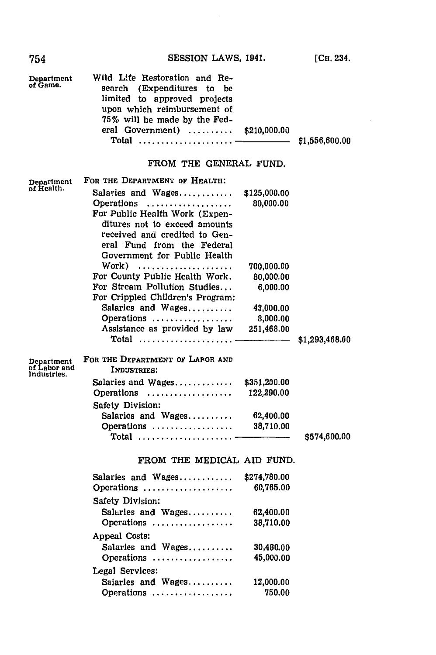754 **SESSION** LAWS, 1941.

**[CH.** 234.

| Department<br>of Game.                    | Wild Life Restoration and Re-<br>search (Expenditures to<br>be<br>limited to approved projects<br>upon which reimbursement of<br>75% will be made by the Fed-<br>eral Government)<br>$Total$       | \$210,000.00              | \$1,556,600.00 |
|-------------------------------------------|----------------------------------------------------------------------------------------------------------------------------------------------------------------------------------------------------|---------------------------|----------------|
|                                           | FROM THE GENERAL FUND.                                                                                                                                                                             |                           |                |
| Department<br>of Health.                  | FOR THE DEPARTMENT OF HEALTH:                                                                                                                                                                      |                           |                |
|                                           | Salaries and Wages<br>Operations<br>For Public Health Work (Expen-<br>ditures not to exceed amounts<br>received and credited to Gen-<br>eral Fund from the Federal<br>Government for Public Health | \$125,000.00<br>80,000.00 |                |
|                                           | Work) -                                                                                                                                                                                            | 700,000.00                |                |
|                                           | For County Public Health Work.                                                                                                                                                                     | 80,000.00                 |                |
|                                           | For Stream Pollution Studies<br>For Crippled Children's Program:                                                                                                                                   | 6,000.00                  |                |
|                                           | Salaries and Wages                                                                                                                                                                                 | 43,000.00                 |                |
|                                           | Operations                                                                                                                                                                                         | 8,000.00                  |                |
|                                           | Assistance as provided by law                                                                                                                                                                      | 251,468.00                |                |
|                                           | $Total$                                                                                                                                                                                            |                           | \$1,293,468.00 |
| Department<br>of Labor and<br>Industries. | FOR THE DEPARTMENT OF LAPOR AND<br>INDUSTRIES:                                                                                                                                                     |                           |                |
|                                           | Salaries and Wages                                                                                                                                                                                 | \$351,200.00              |                |
|                                           | Operations                                                                                                                                                                                         | 122,290.00                |                |
|                                           | Safety Division:                                                                                                                                                                                   |                           |                |
|                                           | Salaries and Wages                                                                                                                                                                                 | 62,400.00                 |                |
|                                           | Operations                                                                                                                                                                                         | 38,710.00                 |                |
|                                           | $Total$                                                                                                                                                                                            |                           | \$574,600.00   |
|                                           | FROM THE MEDICAL AID FUND.                                                                                                                                                                         |                           |                |
|                                           | Salaries and Wages                                                                                                                                                                                 | \$274,780.00              |                |
|                                           | Operations                                                                                                                                                                                         | 60,765.00                 |                |
|                                           | Safety Division:                                                                                                                                                                                   |                           |                |
|                                           | Salaries and Wages                                                                                                                                                                                 | 62,400.00                 |                |
|                                           | Operations                                                                                                                                                                                         | 38,710.00                 |                |
|                                           |                                                                                                                                                                                                    |                           |                |
|                                           | Appeal Costs:                                                                                                                                                                                      |                           |                |
|                                           | Salaries and Wages                                                                                                                                                                                 | 30,480.00                 |                |
|                                           | Operations                                                                                                                                                                                         | 45,000.00                 |                |
|                                           | Legal Services:                                                                                                                                                                                    |                           |                |
|                                           | Salaries and Wages                                                                                                                                                                                 | 12,000.00                 |                |

Operations **...............**

**750.00**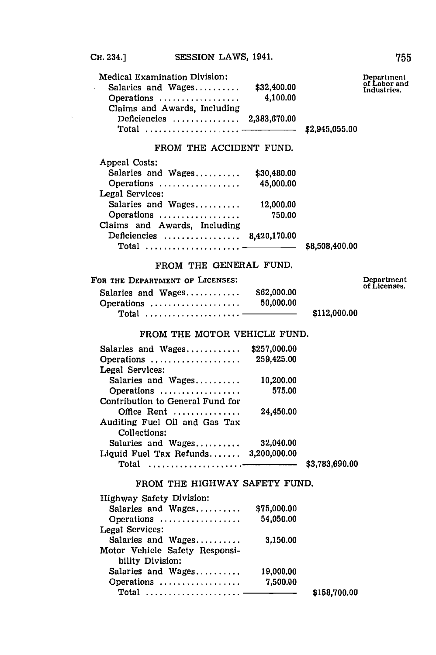| <b>Medical Examination Division:</b><br>Salaries and Wages<br>Operations | \$32,400.00<br>4.100.00 |                | Department<br>of Labor and<br>Industries. |
|--------------------------------------------------------------------------|-------------------------|----------------|-------------------------------------------|
| Claims and Awards, Including                                             |                         |                |                                           |
| Deficiencies  2,383,670.00                                               |                         |                |                                           |
|                                                                          |                         | \$2,945,055.00 |                                           |

## FROM THE **ACCIDENT FUND.**

| \$30,480.00                     |                |
|---------------------------------|----------------|
| 45,000.00<br>Operations         |                |
|                                 |                |
| Salaries and Wages<br>12,000.00 |                |
| 750.00<br>Operations            |                |
|                                 |                |
| Deficiencies  8,420,170.00      |                |
|                                 | \$8,508,400.00 |
|                                 |                |

## FROM THE **GENERAL FUND.**

## FOR THE DEPARTMENT OF **LICENSES:**

| or the Department of Licenses: |             |              | Departmen<br>of Licenses. |
|--------------------------------|-------------|--------------|---------------------------|
| Salaries and Wages             | \$62,000.00 |              |                           |
| Operations                     | 50.000.00   |              |                           |
|                                |             | \$112,000.00 |                           |

## FROM THE MOTOR VEHICLE **FUND.**

| Salaries and Wages                     | \$257,000.00 |                |
|----------------------------------------|--------------|----------------|
| Operations                             | 259,425.00   |                |
| Legal Services:                        |              |                |
| Salaries and Wages                     | 10,200.00    |                |
| Operations                             | 575.00       |                |
| Contribution to General Fund for       |              |                |
| Office Rent                            | 24,450.00    |                |
| Auditing Fuel Oil and Gas Tax          |              |                |
| Collections:                           |              |                |
| Salaries and Wages                     | 32,040.00    |                |
| Liquid Fuel Tax Refunds $3,200,000.00$ |              |                |
| Total                                  |              | \$3,783,690.00 |
|                                        |              |                |

## FROM THE HIGHWAY SAFETY **FUND.**

| <b>Highway Safety Division:</b> |             |              |
|---------------------------------|-------------|--------------|
| Salaries and Wages              | \$75,000.00 |              |
| Operations                      | 54.050.00   |              |
| Legal Services:                 |             |              |
| Salaries and Wages              | 3,150,00    |              |
| Motor Vehicle Safety Responsi-  |             |              |
| bility Division:                |             |              |
| Salaries and Wages              | 19,000.00   |              |
| Operations                      | 7.500.00    |              |
|                                 |             | \$158,700.00 |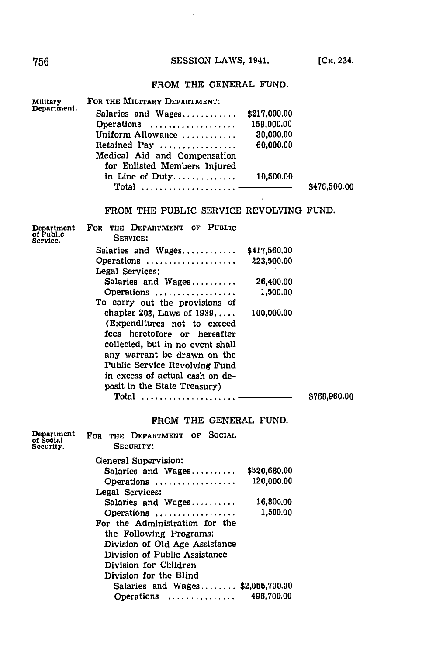# **756 SESSION LAWS, 1941.** [Сн. 234

# FROM THE **GENERAL FUND.**

| Military                             | FOR THE MILITARY DEPARTMENT:              |              |              |
|--------------------------------------|-------------------------------------------|--------------|--------------|
| Department.                          | Salaries and Wages                        | \$217,000.00 |              |
|                                      | Operations                                | 159,000.00   |              |
|                                      | Uniform Allowance                         | 30,000.00    |              |
|                                      | Retained Pay                              | 60,000.00    |              |
|                                      | Medical Aid and Compensation              |              |              |
|                                      | for Enlisted Members Injured              |              |              |
|                                      | in Line of Duty                           | 10,500.00    |              |
|                                      | $\bm{\mathrm{Total}}$                     |              | \$476,500.00 |
|                                      |                                           |              |              |
|                                      | FROM THE PUBLIC SERVICE REVOLVING FUND.   |              |              |
| Department<br>of Public<br>Service.  | FOR THE DEPARTMENT OF PUBLIC<br>SERVICE:  |              |              |
|                                      | Salaries and Wages                        | \$417,560.00 |              |
|                                      | Operations<br>Legal Services:             | 223,500.00   |              |
|                                      | Salaries and Wages                        | 26,400.00    |              |
|                                      | Operations                                | 1,500.00     |              |
|                                      | To carry out the provisions of            |              |              |
|                                      | chapter 203, Laws of 1939                 | 100,000.00   |              |
|                                      | (Expenditures not to exceed               |              |              |
|                                      | fees heretofore or hereafter              |              |              |
|                                      | collected, but in no event shall          |              |              |
|                                      | any warrant be drawn on the               |              |              |
|                                      | Public Service Revolving Fund             |              |              |
|                                      | in excess of actual cash on de-           |              |              |
|                                      | posit in the State Treasury)              |              |              |
|                                      | $Total$                                   |              | \$768,960.00 |
|                                      |                                           |              |              |
|                                      | FROM THE GENERAL FUND.                    |              |              |
| Department<br>of Social<br>Security. | FOR THE DEPARTMENT OF SOCIAL<br>SECURITY: |              |              |
|                                      | General Supervision:                      |              |              |
|                                      | Salaries and Wages                        | \$520,680.00 |              |
|                                      | Operations                                | 120,000.00   |              |
|                                      | Legal Services:                           |              |              |
|                                      | Salaries and Wages                        | 16,800.00    |              |
|                                      | Operations                                | 1,500.00     |              |
|                                      | For the Administration for the            |              |              |
|                                      | the Following Programs:                   |              |              |
|                                      | Division of Old Age Assistance            |              |              |
|                                      | Division of Public Assistance             |              |              |
|                                      | Division for Children                     |              |              |
|                                      | Division for the Blind                    |              |              |
|                                      | Salaries and Wages $$2,055,700.00$        |              |              |
|                                      | Operations                                | 496,700.00   |              |
|                                      |                                           |              |              |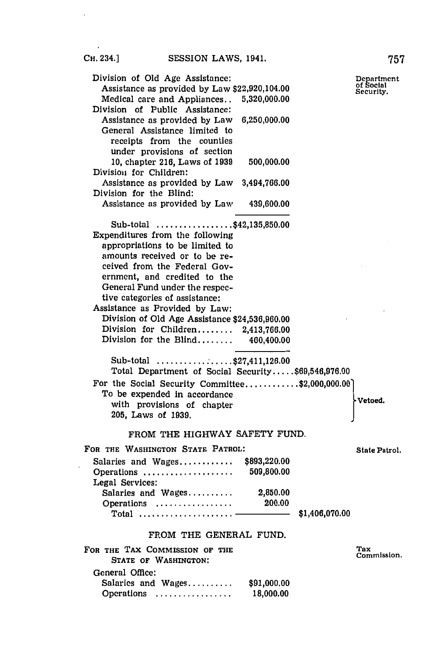| Division of Old Age Assistance:<br>Assistance as provided by Law \$22,920,104.00<br>Medical care and Appliances<br>5,320,000.00<br>Division of Public Assistance:                                                                                                                                                                                                                                                                                                                                                                                                                                          |                | Department<br>of Social<br>Security. |
|------------------------------------------------------------------------------------------------------------------------------------------------------------------------------------------------------------------------------------------------------------------------------------------------------------------------------------------------------------------------------------------------------------------------------------------------------------------------------------------------------------------------------------------------------------------------------------------------------------|----------------|--------------------------------------|
| Assistance as provided by Law<br>6,250,000.00<br>General Assistance limited to<br>receipts from the counties<br>under provisions of section                                                                                                                                                                                                                                                                                                                                                                                                                                                                |                |                                      |
| 10, chapter 216, Laws of 1939<br>500,000.00<br>Division for Children:                                                                                                                                                                                                                                                                                                                                                                                                                                                                                                                                      |                |                                      |
| Assistance as provided by Law 3,494,766.00<br>Division for the Blind:                                                                                                                                                                                                                                                                                                                                                                                                                                                                                                                                      |                |                                      |
| Assistance as provided by Law<br>439,600.00                                                                                                                                                                                                                                                                                                                                                                                                                                                                                                                                                                |                |                                      |
| Sub-total \$42,135,850.00<br>Expenditures from the following<br>appropriations to be limited to<br>amounts received or to be re-<br>ceived from the Federal Gov-<br>ernment, and credited to the<br>General Fund under the respec-<br>tive categories of assistance:<br>Assistance as Provided by Law:<br>Division of Old Age Assistance \$24,536,960.00<br>Division for Children 2,413,766.00<br>Division for the Blind 460,400.00<br>Sub-total \$27,411,126.00<br>Total Department of Social Security\$69,546,976.00<br>For the Social Security Committee\$2,000,000.00]<br>To be expended in accordance |                |                                      |
| with provisions of chapter<br>205, Laws of 1939.                                                                                                                                                                                                                                                                                                                                                                                                                                                                                                                                                           |                | Vetoed.                              |
| FROM THE HIGHWAY SAFETY FUND.                                                                                                                                                                                                                                                                                                                                                                                                                                                                                                                                                                              |                |                                      |
| FOR THE WASHINGTON STATE PATROL:                                                                                                                                                                                                                                                                                                                                                                                                                                                                                                                                                                           |                | State Patrol.                        |
| Salaries and Wages<br>\$893,220.00<br>Operations  509,800.00<br>Legal Services:                                                                                                                                                                                                                                                                                                                                                                                                                                                                                                                            |                |                                      |
| Salaries and Wages 2,850.00                                                                                                                                                                                                                                                                                                                                                                                                                                                                                                                                                                                |                |                                      |
| Operations<br>200.00<br>Total $\ldots \ldots \ldots \ldots \ldots \ldots$                                                                                                                                                                                                                                                                                                                                                                                                                                                                                                                                  | \$1,406,070.00 |                                      |
| FROM THE GENERAL FUND.                                                                                                                                                                                                                                                                                                                                                                                                                                                                                                                                                                                     |                |                                      |
| FOR THE TAX COMMISSION OF THE<br>STATE OF WASHINGTON:                                                                                                                                                                                                                                                                                                                                                                                                                                                                                                                                                      |                | Tax<br>Commission.                   |
| General Office:                                                                                                                                                                                                                                                                                                                                                                                                                                                                                                                                                                                            |                |                                      |
| Salaries and Wages<br>\$91,000.00<br>18,000.00<br>Operations                                                                                                                                                                                                                                                                                                                                                                                                                                                                                                                                               |                |                                      |

l,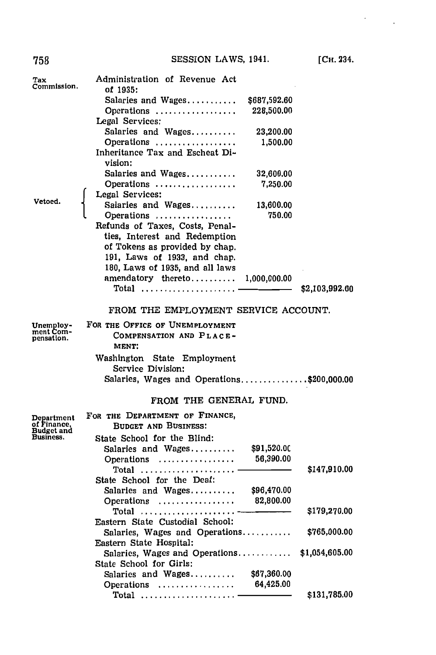| 758                       | SESSION LAWS, 1941.                              |              | [Сн. 234.      |
|---------------------------|--------------------------------------------------|--------------|----------------|
| Tax<br>Commission.        | Administration of Revenue Act                    |              |                |
|                           | of 1935:                                         |              |                |
|                           | Salaries and Wages                               | \$687,592.60 |                |
|                           | Operations                                       | 228,500.00   |                |
|                           | Legal Services:                                  |              |                |
|                           | Salaries and Wages                               | 23,200.00    |                |
|                           | Operations                                       | 1,500.00     |                |
|                           | Inheritance Tax and Escheat Di-                  |              |                |
|                           | vision:                                          |              |                |
|                           | Salaries and Wages                               | 32,600.00    |                |
|                           | Operations                                       | 7,250.00     |                |
|                           | Legal Services:                                  |              |                |
| Vetoed.                   | Salaries and Wages                               | 13,600.00    |                |
|                           | Operations                                       | 750.00       |                |
|                           | Refunds of Taxes, Costs, Penal-                  |              |                |
|                           | ties, Interest and Redemption                    |              |                |
|                           | of Tokens as provided by chap.                   |              |                |
|                           | 191, Laws of 1933, and chap.                     |              |                |
|                           | 180, Laws of 1935, and all laws                  |              |                |
|                           | amendatory thereto                               | 1,000,000.00 |                |
|                           | $\texttt{Total}$                                 |              | \$2,103,992.60 |
|                           | FROM THE EMPLOYMENT SERVICE ACCOUNT.             |              |                |
| Unemploy-                 | FOR THE OFFICE OF UNEMPLOYMENT                   |              |                |
| ment Com-<br>pensation.   | COMPENSATION AND PLACE-                          |              |                |
|                           | MENT:                                            |              |                |
|                           |                                                  |              |                |
|                           | Washington State Employment<br>Service Division: |              |                |
|                           |                                                  |              |                |
|                           | Salaries, Wages and Operations\$200,000.00       |              |                |
|                           | FROM THE GENERAL FUND.                           |              |                |
| Department                | FOR THE DEPARTMENT OF FINANCE,                   |              |                |
| of Finance,<br>Budget and | <b>BUDGET AND BUSINESS:</b>                      |              |                |
| Business.                 | State School for the Blind:                      |              |                |
|                           | Salaries and Wages                               | \$91,520.00  |                |
|                           | Operations                                       | 56,390.00    |                |
|                           | $\texttt{Total}$                                 |              | \$147,910.00   |
|                           | State School for the Deaf:                       |              |                |
|                           | Salaries and Wages                               | \$96,470.00  |                |
|                           | Operations                                       | 82,800.00    |                |
|                           | $\text{Total}$                                   |              | \$179,270.00   |
|                           | Eastern State Custodial School:                  |              |                |
|                           | Salaries, Wages and Operations                   |              | \$765,000.00   |
|                           | Eastern State Hospital:                          |              |                |
|                           | Salaries, Wages and Operations                   |              | \$1,054,605.00 |
|                           | State School for Girls:                          |              |                |
|                           | Salaries and Wages                               | \$67,360.00  |                |
|                           | Operations                                       | 64,425.00    |                |
|                           | $\text{Total}$                                   |              | \$131,785.00   |
|                           |                                                  |              |                |

 $\mathcal{L}_{\text{max}}$  .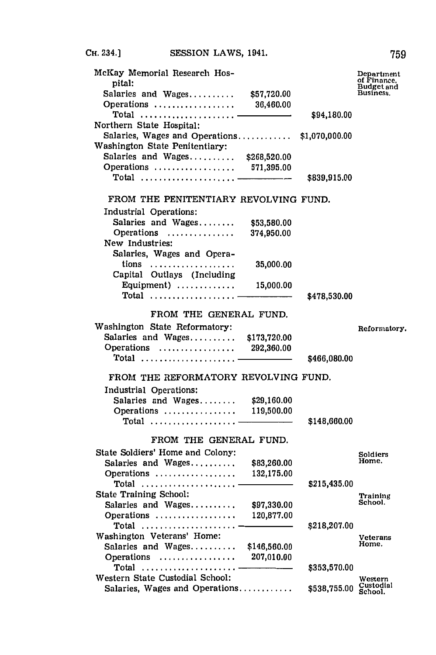| McKay Memorial Research Hos-<br>pital:<br>Salaries and Wages<br>Operations<br>Total<br>Northern State Hospital:<br>Salaries, Wages and Operations<br>Washington State Penitentiary:<br>Salaries and Wages<br>Operations  571,395.00 | \$57,720.00<br>36,460.00<br>\$268,520.00 | \$94,180.00<br>\$1,070,000.00 | Department<br>of Finance,<br>Budget and<br>Business. |
|-------------------------------------------------------------------------------------------------------------------------------------------------------------------------------------------------------------------------------------|------------------------------------------|-------------------------------|------------------------------------------------------|
|                                                                                                                                                                                                                                     |                                          | \$839,915.00                  |                                                      |
| FROM THE PENITENTIARY REVOLVING FUND.                                                                                                                                                                                               |                                          |                               |                                                      |
| Industrial Operations:                                                                                                                                                                                                              |                                          |                               |                                                      |
| Salaries and Wages                                                                                                                                                                                                                  | \$53,580.00                              |                               |                                                      |
| Operations                                                                                                                                                                                                                          | 374,950.00                               |                               |                                                      |
| New Industries:                                                                                                                                                                                                                     |                                          |                               |                                                      |
| Salaries, Wages and Opera-                                                                                                                                                                                                          |                                          |                               |                                                      |
|                                                                                                                                                                                                                                     | 35,000.00                                |                               |                                                      |
| Capital Outlays (Including                                                                                                                                                                                                          |                                          |                               |                                                      |
| Equipment) $\ldots \ldots \ldots$                                                                                                                                                                                                   | 15,000.00                                |                               |                                                      |
| Total                                                                                                                                                                                                                               |                                          | \$478,530.00                  |                                                      |
|                                                                                                                                                                                                                                     |                                          |                               |                                                      |
| FROM THE GENERAL FUND.                                                                                                                                                                                                              |                                          |                               |                                                      |
| Washington State Reformatory:                                                                                                                                                                                                       |                                          |                               | Reformatory.                                         |
| Salaries and Wages                                                                                                                                                                                                                  | \$173,720.00                             |                               |                                                      |
| Operations                                                                                                                                                                                                                          | 292,360.00                               |                               |                                                      |
| Total $\ldots \ldots \ldots \ldots \ldots \ldots$                                                                                                                                                                                   |                                          | \$466,080.00                  |                                                      |
|                                                                                                                                                                                                                                     |                                          |                               |                                                      |
| FROM THE REFORMATORY REVOLVING FUND.                                                                                                                                                                                                |                                          |                               |                                                      |
| Industrial Operations:                                                                                                                                                                                                              |                                          |                               |                                                      |
| Salaries and Wages                                                                                                                                                                                                                  | \$29,160.00                              |                               |                                                      |
| Operations                                                                                                                                                                                                                          | 119,500.00                               |                               |                                                      |
|                                                                                                                                                                                                                                     |                                          | \$148,660.00                  |                                                      |
| FROM THE GENERAL FUND.                                                                                                                                                                                                              |                                          |                               |                                                      |
|                                                                                                                                                                                                                                     |                                          |                               |                                                      |
| State Soldiers' Home and Colony:                                                                                                                                                                                                    |                                          |                               | Soldiers<br>Home.                                    |
| Salaries and Wages                                                                                                                                                                                                                  | \$83,260.00<br>132,175.00                |                               |                                                      |
| Operations<br>Total                                                                                                                                                                                                                 |                                          | \$215,435.00                  |                                                      |
| <b>State Training School:</b>                                                                                                                                                                                                       |                                          |                               |                                                      |
| Salaries and Wages                                                                                                                                                                                                                  | \$97,330.00                              |                               | Training<br>School.                                  |
| Operations                                                                                                                                                                                                                          | 120,877.00                               |                               |                                                      |
|                                                                                                                                                                                                                                     |                                          | \$218,207.00                  |                                                      |
| Washington Veterans' Home:                                                                                                                                                                                                          |                                          |                               | Veterans                                             |
| Salaries and Wages                                                                                                                                                                                                                  | \$146,560.00                             |                               | Home.                                                |
| Operations                                                                                                                                                                                                                          | 207,010.00                               |                               |                                                      |
| Total                                                                                                                                                                                                                               |                                          | \$353,570.00                  |                                                      |
| Western State Custodial School:                                                                                                                                                                                                     |                                          |                               | Western                                              |
| Salaries, Wages and Operations                                                                                                                                                                                                      |                                          | \$538,755.00                  | Custodial<br>School.                                 |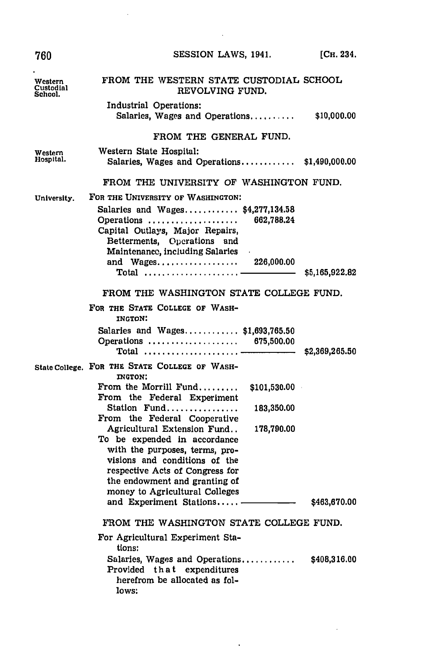| 760                                    | SESSION LAWS, 1941.                                                                                                                                                                                                                                                                                                                                                                                                                                                                                                                                                                                                                                                  | [Сн. 234.                    |
|----------------------------------------|----------------------------------------------------------------------------------------------------------------------------------------------------------------------------------------------------------------------------------------------------------------------------------------------------------------------------------------------------------------------------------------------------------------------------------------------------------------------------------------------------------------------------------------------------------------------------------------------------------------------------------------------------------------------|------------------------------|
| Western<br><b>Custodial</b><br>School. | FROM THE WESTERN STATE CUSTODIAL SCHOOL<br>REVOLVING FUND.                                                                                                                                                                                                                                                                                                                                                                                                                                                                                                                                                                                                           |                              |
|                                        | Industrial Operations:<br>Salaries, Wages and Operations                                                                                                                                                                                                                                                                                                                                                                                                                                                                                                                                                                                                             | \$10,000.00                  |
|                                        | FROM THE GENERAL FUND.                                                                                                                                                                                                                                                                                                                                                                                                                                                                                                                                                                                                                                               |                              |
| Western<br>Hospital.                   | Western State Hospital:<br>Salaries, Wages and Operations \$1,490,000.00                                                                                                                                                                                                                                                                                                                                                                                                                                                                                                                                                                                             |                              |
|                                        | FROM THE UNIVERSITY OF WASHINGTON FUND.                                                                                                                                                                                                                                                                                                                                                                                                                                                                                                                                                                                                                              |                              |
| University.                            | FOR THE UNIVERSITY OF WASHINGTON:<br>Salaries and Wages \$4,277,134.58<br>662,788.24<br>Operations<br>Capital Outlays, Major Repairs,<br>Betterments, Operations and<br>Maintenance, including Salaries<br>and Wages<br>226,000.00<br>Total  —                                                                                                                                                                                                                                                                                                                                                                                                                       | \$5,165,922.82               |
|                                        | FROM THE WASHINGTON STATE COLLEGE FUND.                                                                                                                                                                                                                                                                                                                                                                                                                                                                                                                                                                                                                              |                              |
|                                        | FOR THE STATE COLLEGE OF WASH-<br><b>INGTON:</b><br>Salaries and Wages $$1,693,765.50$<br>Operations  675,500.00<br>$\textbf{Total}$                                                                                                                                                                                                                                                                                                                                                                                                                                                                                                                                 | \$2,369,265.50               |
|                                        | State College. FOR THE STATE COLLEGE OF WASH-<br><b>INGTON:</b><br>From the Morrill Fund<br>\$101,530.00<br>From the Federal Experiment<br>Station Fund<br>183,350.00<br>From the Federal Cooperative<br>Agricultural Extension Fund<br>178,790.00<br>To be expended in accordance<br>with the purposes, terms, pro-<br>visions and conditions of the<br>respective Acts of Congress for<br>the endowment and granting of<br>money to Agricultural Colleges<br>and Experiment Stations ————————————————————<br>FROM THE WASHINGTON STATE COLLEGE FUND.<br>For Agricultural Experiment Sta-<br>tions:<br>Salaries, Wages and Operations<br>Provided that expenditures | \$463,670.00<br>\$408,316.00 |
|                                        | herefrom be allocated as fol-<br>lows:                                                                                                                                                                                                                                                                                                                                                                                                                                                                                                                                                                                                                               |                              |

 $\bar{z}$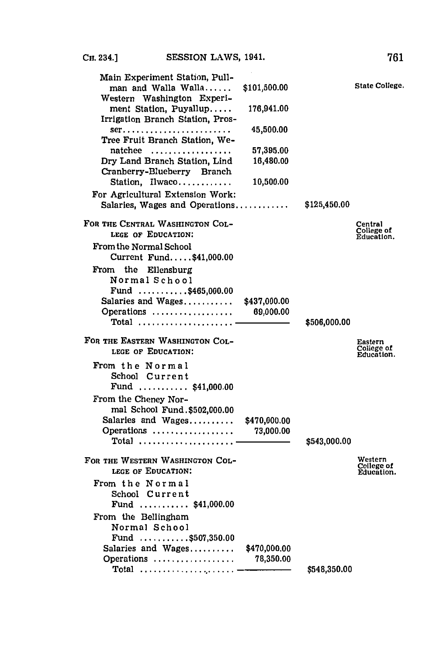| Main Experiment Station, Pull-<br>man and Walla Walla              | \$101,500.00              |              | <b>State College</b>                |
|--------------------------------------------------------------------|---------------------------|--------------|-------------------------------------|
| Western Washington Experi-<br>ment Station, Puyallup               | 176,941.00                |              |                                     |
| Irrigation Branch Station, Pros-<br>Tree Fruit Branch Station. We- | 45,500.00                 |              |                                     |
| natchee                                                            | 57,395.00                 |              |                                     |
| Dry Land Branch Station, Lind<br>Cranberry-Blueberry Branch        | 16,480.00                 |              |                                     |
| Station, Ilwaco<br>For Agricultural Extension Work:                | 10,500.00                 |              |                                     |
| Salaries, Wages and Operations                                     |                           | \$125,450.00 |                                     |
| FOR THE CENTRAL WASHINGTON COL-<br>LEGE OF EDUCATION:              |                           |              | Central<br>College of<br>Education. |
| <b>From the Normal School</b><br>Current Fund\$41,000.00           |                           |              |                                     |
| From the Ellensburg<br>Normal School                               |                           |              |                                     |
| Fund $\ldots \ldots \ldots$ .\$465,000.00                          |                           |              |                                     |
| Salaries and Wages<br>Operations                                   | \$437,000.00<br>69,000.00 |              |                                     |
|                                                                    |                           | \$506,000.00 |                                     |
| FOR THE EASTERN WASHINGTON COL-<br>LEGE OF EDUCATION:              |                           |              | Eastern<br>College of<br>Education. |
| From the Normal<br>School Current                                  |                           |              |                                     |
| Fund  \$41,000.00                                                  |                           |              |                                     |
| From the Cheney Nor-<br>mal School Fund.\$502,000.00               |                           |              |                                     |
| Salaries and Wages<br>Operations                                   | \$470,000.00<br>73,000.00 |              |                                     |
| Total                                                              |                           | \$543,000.00 |                                     |
| FOR THE WESTERN WASHINGTON COL-<br>LEGE OF EDUCATION:              |                           |              | Western<br>College of<br>Education. |
| From the Normal                                                    |                           |              |                                     |
| School Current<br>Fund  \$41,000.00                                |                           |              |                                     |
| From the Bellingham<br>Normal School                               |                           |              |                                     |
| Fund $\ldots \ldots \ldots$ \$507,350.00                           |                           |              |                                     |
| Salaries and Wages<br>Operations                                   | \$470,000.00<br>78,350.00 |              |                                     |
| $Total$                                                            |                           | \$548,350.00 |                                     |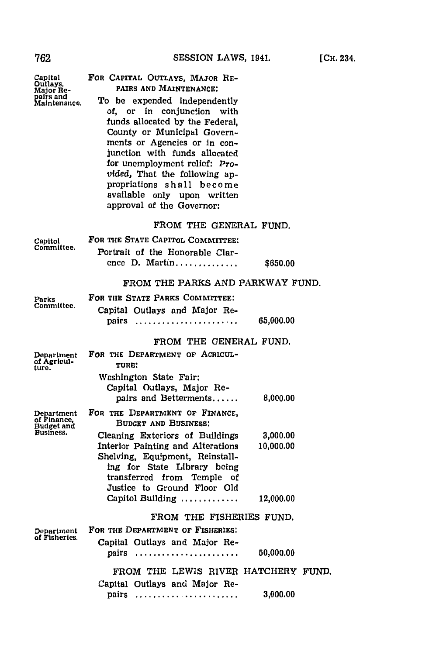| Capital<br>Outlays,<br>Major Re-<br>pairs and<br>Maintenance. | FOR CAPITAL OUTLAYS, MAJOR RE-<br>PAIRS AND MAINTENANCE:<br>To be expended independently<br>of, or in conjunction with<br>funds allocated by the Federal,<br>County or Municipal Govern-<br>ments or Agencies or in con-<br>junction with funds allocated<br>for unemployment relief: Pro-<br>vided, That the following ap-<br>propriations shall become<br>available only upon written<br>approval of the Governor: |           |
|---------------------------------------------------------------|----------------------------------------------------------------------------------------------------------------------------------------------------------------------------------------------------------------------------------------------------------------------------------------------------------------------------------------------------------------------------------------------------------------------|-----------|
|                                                               | FROM THE GENERAL FUND.                                                                                                                                                                                                                                                                                                                                                                                               |           |
| Capitol                                                       | FOR THE STATE CAPITOL COMMITTEE:                                                                                                                                                                                                                                                                                                                                                                                     |           |
| Committee.                                                    | Portrait of the Honorable Clar-                                                                                                                                                                                                                                                                                                                                                                                      |           |
|                                                               | ence D. Martin                                                                                                                                                                                                                                                                                                                                                                                                       | \$650.00  |
|                                                               | FROM THE PARKS AND PARKWAY FUND.                                                                                                                                                                                                                                                                                                                                                                                     |           |
| Parks                                                         | FOR THE STATE PARKS COMMITTEE:                                                                                                                                                                                                                                                                                                                                                                                       |           |
| Committee.                                                    | Capital Outlays and Major Re-                                                                                                                                                                                                                                                                                                                                                                                        |           |
|                                                               | pairs                                                                                                                                                                                                                                                                                                                                                                                                                | 65,000.00 |
|                                                               | FROM THE GENERAL FUND.                                                                                                                                                                                                                                                                                                                                                                                               |           |
| Department                                                    | FOR THE DEPARTMENT OF AGRICUL-                                                                                                                                                                                                                                                                                                                                                                                       |           |
| of Agricul-<br>ture.                                          | TURE:                                                                                                                                                                                                                                                                                                                                                                                                                |           |
|                                                               | Washington State Fair:                                                                                                                                                                                                                                                                                                                                                                                               |           |
|                                                               | Capital Outlays, Major Re-<br>pairs and Betterments                                                                                                                                                                                                                                                                                                                                                                  | 8,000.00  |
|                                                               | FOR THE DEPARTMENT OF FINANCE,                                                                                                                                                                                                                                                                                                                                                                                       |           |
| Department<br>of Finance,<br>Budget and                       | <b>BUDGET AND BUSINESS:</b>                                                                                                                                                                                                                                                                                                                                                                                          |           |
| Business.                                                     | Cleaning Exteriors of Buildings                                                                                                                                                                                                                                                                                                                                                                                      | 3,000.00  |
|                                                               | Interior Painting and Alterations                                                                                                                                                                                                                                                                                                                                                                                    | 10,000.00 |
|                                                               | Shelving, Equipment, Reinstall-<br>ing for State Library being                                                                                                                                                                                                                                                                                                                                                       |           |
|                                                               | transferred from Temple<br>οf                                                                                                                                                                                                                                                                                                                                                                                        |           |
|                                                               | Justice to Ground Floor Old<br>Capitol Building                                                                                                                                                                                                                                                                                                                                                                      | 12,000.00 |
|                                                               |                                                                                                                                                                                                                                                                                                                                                                                                                      |           |
|                                                               | FROM THE FISHERIES FUND.                                                                                                                                                                                                                                                                                                                                                                                             |           |
| Department<br>of Fisheries.                                   | FOR THE DEPARTMENT OF FISHERIES:                                                                                                                                                                                                                                                                                                                                                                                     |           |
|                                                               | Capital Outlays and Major Re-<br>pairs                                                                                                                                                                                                                                                                                                                                                                               | 50,000.00 |
|                                                               |                                                                                                                                                                                                                                                                                                                                                                                                                      |           |
|                                                               | FROM THE LEWIS RIVER HATCHERY FUND.<br>Capital Outlays and Major Re-                                                                                                                                                                                                                                                                                                                                                 |           |
|                                                               | pairs                                                                                                                                                                                                                                                                                                                                                                                                                | 3,000.00  |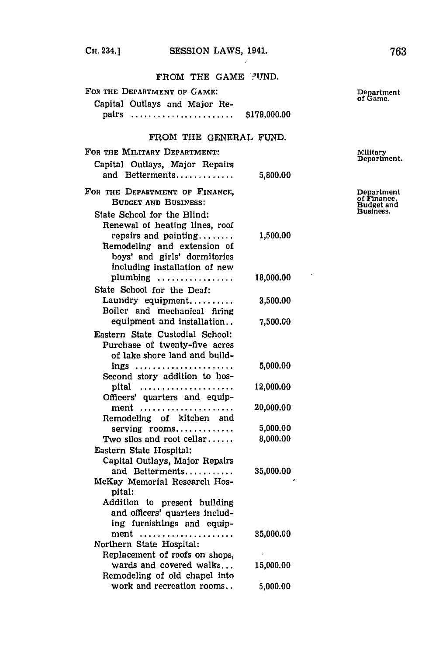$\epsilon$ 

FROM THE **GAME YI'jND.**

| FOR THE DEPARTMENT OF GAME: |  |  |
|-----------------------------|--|--|
|-----------------------------|--|--|

## Capital Outlays and Major Re- **<sup>o</sup>** pairs **....................... \$179,000.00**

## FROM THE **GENERAL FUND.**

| FOR THE MILITARY DEPARTMENT:                                                                                         |           | Military<br>Department.                 |
|----------------------------------------------------------------------------------------------------------------------|-----------|-----------------------------------------|
| Capital Outlays, Major Repairs                                                                                       |           |                                         |
| and Betterments                                                                                                      | 5,800.00  |                                         |
| FOR THE DEPARTMENT OF FINANCE,<br><b>BUDGET AND BUSINESS:</b>                                                        |           | Department<br>of Finance,<br>Budget and |
| State School for the Blind:                                                                                          |           | Business.                               |
| Renewal of heating lines, roof                                                                                       |           |                                         |
| repairs and painting<br>Remodeling and extension of<br>boys' and girls' dormitories<br>including installation of new | 1,500.00  |                                         |
| plumbing                                                                                                             | 18,000.00 |                                         |
| State School for the Deaf:                                                                                           |           |                                         |
| Laundry equipment<br>Boiler and mechanical firing                                                                    | 3,500.00  |                                         |
| equipment and installation                                                                                           | 7,500.00  |                                         |
| Eastern State Custodial School:                                                                                      |           |                                         |
| Purchase of twenty-five acres                                                                                        |           |                                         |
| of lake shore land and build-                                                                                        |           |                                         |
| ings                                                                                                                 | 5,000.00  |                                         |
| Second story addition to hos-                                                                                        |           |                                         |
| pital                                                                                                                | 12,000.00 |                                         |
| Officers' quarters and equip-                                                                                        |           |                                         |
| ment                                                                                                                 | 20,000.00 |                                         |
| Remodeling of kitchen and                                                                                            |           |                                         |
| serving rooms                                                                                                        | 5,000.00  |                                         |
| Two silos and root cellar                                                                                            | 8,000.00  |                                         |
| Eastern State Hospital:                                                                                              |           |                                         |
| Capital Outlays, Major Repairs                                                                                       |           |                                         |
| and Betterments                                                                                                      | 35,000.00 |                                         |
| McKay Memorial Research Hos-<br>pital:                                                                               |           |                                         |
| Addition to present building                                                                                         |           |                                         |
| and officers' quarters includ-                                                                                       |           |                                         |
| ing furnishings and equip-                                                                                           |           |                                         |
| ment                                                                                                                 | 35,000.00 |                                         |
| Northern State Hospital:                                                                                             |           |                                         |
| Replacement of roofs on shops,                                                                                       |           |                                         |
| wards and covered walks                                                                                              | 15,000.00 |                                         |
| Remodeling of old chapel into                                                                                        |           |                                         |
| work and recreation rooms                                                                                            | 5,000.00  |                                         |

Department<br>of Game.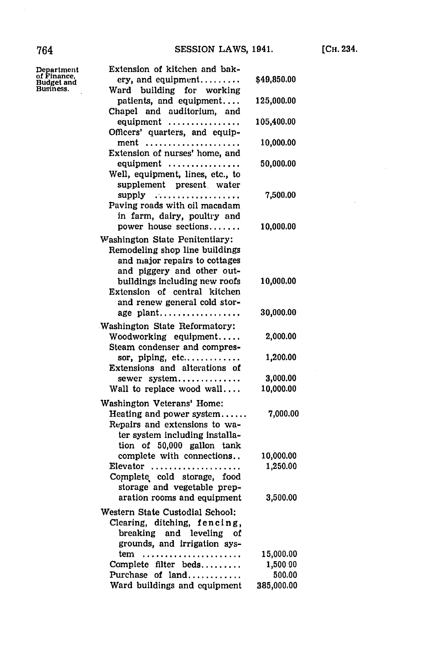| Department<br>of Finance, | Extension of kitchen and bak-<br>ery, and equipment                                                                         | \$49,850.00           |
|---------------------------|-----------------------------------------------------------------------------------------------------------------------------|-----------------------|
| Budget and<br>Business.   | Ward building for working                                                                                                   |                       |
|                           | patients, and equipment<br>Chapel and auditorium, and                                                                       | 125,000.00            |
|                           | equipment<br>Officers' quarters, and equip-                                                                                 | 105,400.00            |
|                           | ment                                                                                                                        | 10,000.00             |
|                           | Extension of nurses' home, and<br>equipment                                                                                 | 50,000.00             |
|                           | Well, equipment, lines, etc., to<br>supplement present water                                                                |                       |
|                           | supply<br>Paving roads with oil macadam<br>in farm, dairy, poultry and                                                      | 7,500.00              |
|                           | power house sections                                                                                                        | 10,000.00             |
|                           | Washington State Penitentiary:<br>Remodeling shop line buildings<br>and major repairs to cottages                           |                       |
|                           | and piggery and other out-<br>buildings including new roofs<br>Extension of central kitchen                                 | 10,000.00             |
|                           | and renew general cold stor-<br>age plant                                                                                   | 30,000.00             |
|                           | Washington State Reformatory:<br>Woodworking equipment<br>Steam condenser and compres-                                      | 2,000.00              |
|                           | sor, piping, etc<br>Extensions and alterations of                                                                           | 1,200.00              |
|                           | sewer system<br>Wall to replace wood wall                                                                                   | 3,000.00<br>10,000.00 |
|                           | Washington Veterans' Home:                                                                                                  |                       |
|                           | Heating and power system<br>Repairs and extensions to wa-<br>ter system including installa-                                 | 7,000.00              |
|                           | tion of 50,000 gallon tank<br>complete with connections<br>$E$ levator<br>Complete cold storage, food                       | 10,000.00<br>1,250.00 |
|                           | storage and vegetable prep-<br>aration rooms and equipment                                                                  | 3,500.00              |
|                           | Western State Custodial School:<br>Clearing, ditching, fencing,<br>breaking and leveling of<br>grounds, and irrigation sys- |                       |
|                           | tem<br>Complete filter beds                                                                                                 | 15,000.00<br>1,500.00 |
|                           | Purchase of land                                                                                                            | 500.00                |
|                           | Ward buildings and equipment                                                                                                | 385,000.00            |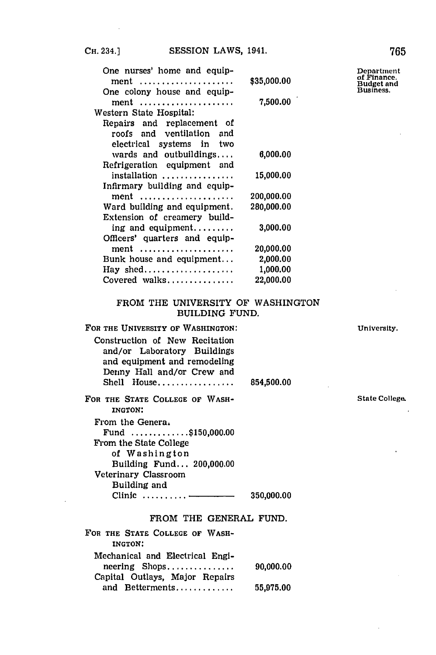$\ddot{\phantom{a}}$ 

| One nurses' home and equip-                      | \$35,000.00 | Departmen<br>of Finance.       |
|--------------------------------------------------|-------------|--------------------------------|
| ment<br>One colony house and equip-              |             | <b>Budget</b> and<br>Business. |
| $ment \dots \dots \dots \dots \dots \dots \dots$ | 7,500.00    |                                |
| Western State Hospital:                          |             |                                |
| Repairs and replacement of                       |             |                                |
| roofs and ventilation and                        |             |                                |
| electrical systems in two                        |             |                                |
| wards and outbuildings                           | 6,000.00    |                                |
| Refrigeration equipment and                      |             |                                |
| installation                                     | 15,000.00   |                                |
| Infirmary building and equip-                    |             |                                |
| ment                                             | 200,000.00  |                                |
| Ward building and equipment.                     | 280,000.00  |                                |
| Extension of creamery build-                     |             |                                |
| ing and equipment                                | 3,000.00    |                                |
| Officers' quarters and equip-                    |             |                                |
| ment                                             | 20,000.00   |                                |
| Bunk house and equipment                         | 2,000.00    |                                |
| Hay shed                                         | 1,000.00    |                                |
| Covered walks                                    | 22,000.00   |                                |
|                                                  |             |                                |

## FROM THE UNIVERSITY OF WASHINGTON BUILDING **FUND.**

| FOR THE UNIVERSITY OF WASHINGTON:                                                                                                            |            |
|----------------------------------------------------------------------------------------------------------------------------------------------|------------|
| Construction of New Recitation<br>and/or Laboratory Buildings<br>and equipment and remodeling<br>Denny Hall and/or Crew and<br>$Shell$ House | 854,500.00 |
| FOR THE STATE COLLEGE OF WASH-<br><b>INGTON:</b>                                                                                             |            |
| From the Genera.                                                                                                                             |            |
| Fund $\ldots \ldots \ldots$ \$150,000.00                                                                                                     |            |
| From the State College                                                                                                                       |            |
| of Washington                                                                                                                                |            |
| Building Fund 200,000.00                                                                                                                     |            |
| Veterinary Classroom                                                                                                                         |            |
| Building and                                                                                                                                 |            |
| Clinic $\ldots \ldots \ldots$                                                                                                                | 350,000.00 |

## FROM THE **GENERAL FUND.**

| FOR THE STATE COLLEGE OF WASH-  |           |
|---------------------------------|-----------|
| INGTON:                         |           |
| Mechanical and Electrical Engi- |           |
| $neering$ Shops                 | 90,000.00 |
| Capital Outlays, Major Repairs  |           |
| and Betterments                 | 55,975.00 |

**University.** 

**State College.** 

 $\cdot$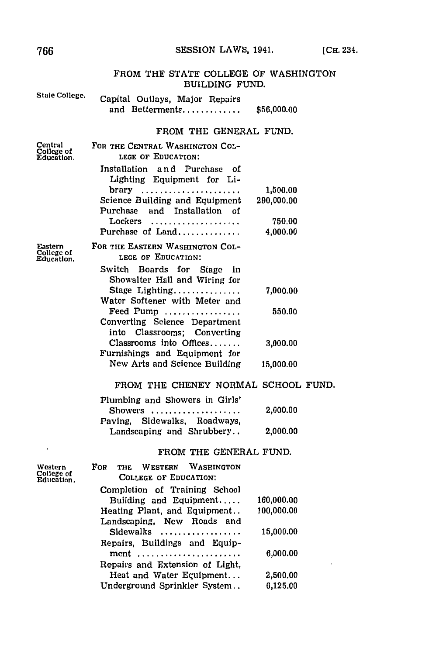#### SESSION LAWS, 1941.

#### FROM THE STATE COLLEGE OF WASHINGTON **BUILDING FUND.** State College. Capital Outlays, Major Repairs and Betterments............ \$56,000.00 FROM THE GENERAL FUND. Central FOR THE CENTRAL WASHINGTON COL-College of<br>Education LEGE OF EDUCATION: Installation and Purchase of Lighting Equipment for Library ..................... 1.500.00 Science Building and Equipment 290,000.00 Purchase and Installation of 750.00 Lockers .................... Purchase of Land............. 4,000.00 FOR THE EASTERN WASHINGTON COL-Eastern College of<br>Education. LEGE OF EDUCATION: Switch Boards for Stage in Showalter Hall and Wiring for Stage Lighting............... 7,000.00 Water Softener with Meter and Feed Pump ................ 550.00 Converting Science Department into Classrooms; Converting Classrooms into Offices....... 3,000.00 Furnishings and Equipment for New Arts and Science Building 15,000.00 FROM THE CHENEY NORMAL SCHOOL FUND. Plumbing and Showers in Girls' Showers ................... 2,000.00 Sidewalks, Roadways, Paving. Landscaping and Shrubbery.. 2,000.00 FROM THE GENERAL FUND. FOR THE WESTERN WASHINGTON Western College of<br>Education. **COLLEGE OF EDUCATION:** Completion of Training School Building and Equipment..... 160.000.00 Heating Plant, and Equipment.. 100,000.00 Landscaping, New Roads and Sidewalks ................. 15,000.00 Repairs, Buildings and Equipment ...................... 6,000.00

Repairs and Extension of Light. Heat and Water Equipment... 2,500.00 Underground Sprinkler System.. 6,125.00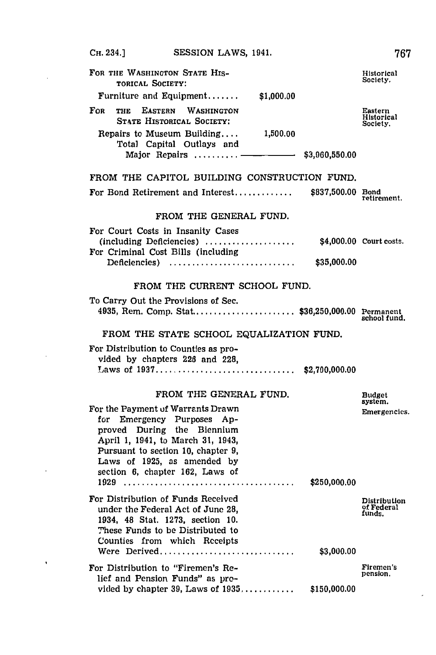**OH.** 234.] **SESSION** LAWS, 1941. **'767** FOR THE WASHINGTON STATE HIS-<br> **FOR THE WASHINGTON STATE HIS-** Historical Society. **TORICAL SOCIETY:** Furniture and Equipment **......... \$1,000.00** FOR THE **EASTERN** WASHINGTON Eastern Historical **ST4TE HISTORICAL** SOCIETY: Society. Repairs to Museum Building. **1,500.00** Total Capital Outlays and Major Repairs ......... <del>\_\_\_\_\_\_\_\_\_\_\_\_</del> \$3,960,550.00 FROM THE CAPITOL BUILDING CONSTRUCTION **FUND.** For Bond Retirement and Interest..................\$837,500.00 Bond retirement. FROM THE **GENERAL FUND.** For Court Costs in Insanity Cases (including **Deficiencies)......................** \$4,000.00 Court costs. For Criminal Cost Bills (including **Deficiencies).............................. \$35,000.00** FROM THE CURRENT **SCHOOL FUND.** To Carry Out the Provisions of Sec. 4935, Rem. Comp. **Stat..................... \$36,250,000.00** Permanent school fund. FROM THE **STATE SCHOOL** EQUALIZATION **FUND.** For Distribution to Counties as provided **by** chapters 226 and 228, Lhaws of **1937 .............................. \$2,700,000.00** FROM THE **GENERAL FUND.** Budget system. For the Payment of Warrants Drawn **Emergencies**. for Emergency Purposes **Ap**proved During the Biennium April **1,** 1941, to March **31,** 1943, Pursuant to section **10,** chapter **9,** Lawvs of **1925,** as amended **by** section **6,** chapter **162,** Laws of **1929..................................... \$250,000.00** For Distribution of Funds Received<br>
under the Federal Act of June 28<br>
of Federal under the Federal Act of June 28, **of Federal Act of June 28**, **of Federal funds**,  $\frac{1934}{100}$ , 1834, 48 Stat. 1273, section 10. These Funds to **be** Distributed to Counties from which Receipts Were **Derived.............................. \$3,000.00** For Distribution to "Firemen's Re-<br>
pension. lief and Pension Funds" as provided **by** chapter **39,** Laws of **1935 ............. \$150,000.00**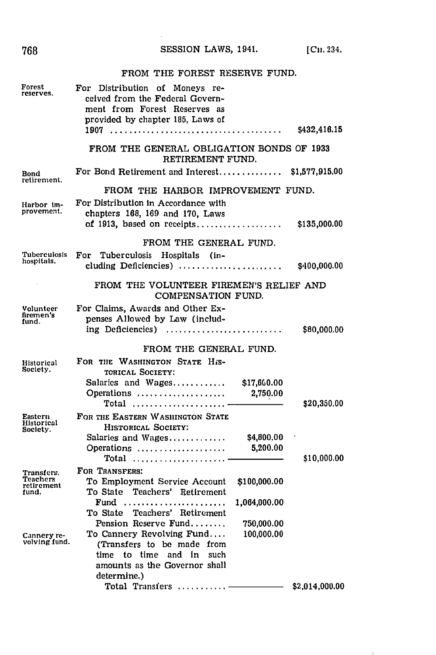# SESSION LAWS, 1941. [CH. 234.

# FROM THE FOREST RESERVE FUND.

| Forest<br>reserves.             | For Distribution of Moneys re-<br>ceived from the Federal Govern-<br>ment from Forest Reserves as<br>provided by chapter 185, Laws of |              | \$432,416.15   |
|---------------------------------|---------------------------------------------------------------------------------------------------------------------------------------|--------------|----------------|
|                                 | FROM THE GENERAL OBLIGATION BONDS OF 1933<br>RETIREMENT FUND.                                                                         |              |                |
| Bond<br>retirement.             | For Bond Retirement and Interest                                                                                                      |              | \$1,577,915.00 |
|                                 | FROM THE HARBOR IMPROVEMENT FUND.                                                                                                     |              |                |
| Harbor im-<br>provement.        | For Distribution in Accordance with<br>chapters 168, 169 and 170, Laws<br>of 1913, based on receipts                                  |              | \$135,000.00   |
|                                 | FROM THE GENERAL FUND.                                                                                                                |              |                |
| Tuberculosis<br>hospitals.      | Tuberculosis Hospitals (in-<br>$\bf{For}$<br>cluding Deficiencies)                                                                    |              | \$400,000.00   |
|                                 | FROM THE VOLUNTEER FIREMEN'S RELIEF AND<br>COMPENSATION FUND.                                                                         |              |                |
| Volunteer<br>firemen's<br>fund. | For Claims, Awards and Other Ex-<br>penses Allowed by Law (includ-<br>ing Deficiencies)                                               |              | \$80,000.00    |
|                                 |                                                                                                                                       |              |                |
|                                 | FROM THE GENERAL FUND.<br>FOR THE WASHINGTON STATE His-                                                                               |              |                |
| Historical<br>Society.          | TORICAL SOCIETY:                                                                                                                      |              |                |
|                                 | Salaries and Wages                                                                                                                    | \$17,660.00  |                |
|                                 | Operations<br>Total                                                                                                                   | 2,750.00     | \$20,350.00    |
| Eastern                         | FOR THE EASTERN WASHINGTON STATE                                                                                                      |              |                |
| Historical<br>Society.          | HISTORICAL SOCIETY:                                                                                                                   |              |                |
|                                 | Salaries and Wages                                                                                                                    | \$4,800.00   |                |
|                                 | Operations<br>$\texttt{Total}$                                                                                                        | 5,200.00     | \$10,000.00    |
| Transfers.                      | FOR TRANSFERS:                                                                                                                        |              |                |
| <b>Teachers</b><br>retirement   | To Employment Service Account                                                                                                         | \$100,000.00 |                |
| fund.                           | To State Teachers' Retirement                                                                                                         |              |                |
|                                 | Fund<br>To State Teachers' Retirement                                                                                                 | 1,064,000.00 |                |
|                                 | Pension Reserve Fund                                                                                                                  | 750,000.00   |                |
| Cannery re-                     | To Cannery Revolving Fund                                                                                                             | 100,000.00   |                |
| volving fund.                   | (Transfers to be made from                                                                                                            |              |                |
|                                 | time to time and in such<br>amounts as the Governor shall                                                                             |              |                |
|                                 | determine.)                                                                                                                           |              |                |
|                                 | Total Transfers                                                                                                                       |              | \$2,014,000,00 |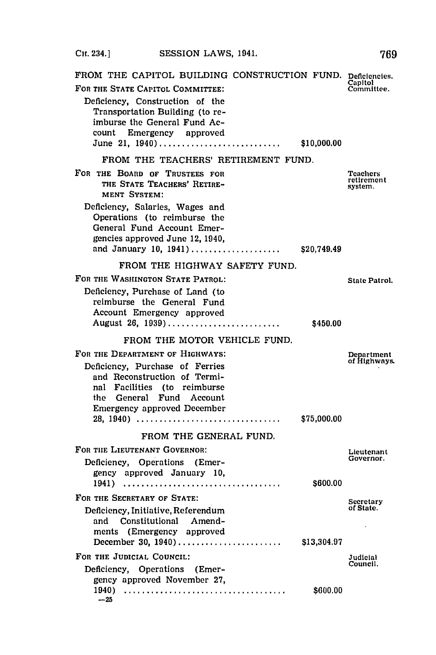**CHI.** 234.] **SESSION** LAWS, 1941. **769** FROM THE CAPITOL BUILDING CONSTRUCTION FUND. Deficiencies.<br>FOR THE STATE CAPITOL COMMITTEE:<br>Committee. FOR THE STATE CAPITOL COMMITTEE: Deficiency, Construction of the Transportation Building (to reimburse the General Fund Account Emergency approved June 21, **1940)............................ \$10,000.00** FROM THE **TEACHERS'** RETIREMENT **FUND.** FOR THE BOARD OF TRUSTEES FOR TEAChers Teachers<br>
Teachers
Teachers
Teachers
Teachers
Teachers
Teachers
Teachers
Teachers
Teachers
Teachers
Teachers
Teachers
Teachers
Teachers
Teachers
Teachers
Teachers
Teachers
Teachers
Te **THE STATE TEACHERS' RETIRE- THE STATE TEACHERS' RETIRE-** system. **MENT SYSTEM:** Deficiency, Salaries, Wages and Operations (to reimburse the General Fund Account Emergencies approved June 12, 1940, and January **10, 1941).....................** \$20,749.49 FROM THE HIGHWAY SAFETY **FUND.** FOR THE WASHINGTON STATE PATROL: State Patrol. Deficiency, Purchase of Land (to reimburse the General Fund Account Emergency approved August **26, 1939)...........................** \$450.00 FROM THE MOTOR VEHICLE **FUND.** FOR THE DEPARTMENT OF HIGHWAYS: Department<br>  $P = 2 \cdot 10^{-4}$  Metal 2.12 and 2.12 and 2.12 and 2.12 and 2.12 and 2.12 and 2.12 and 2.12 and 2.12 and 2.12 and 2.12 and 2.12 and 2.12 and 2.12 and 2.12 and 2.12 and 2.12 and 2.12 **Deficiency, Purchase of Ferries** and Reconstruction of Terminal Facilities (to reimburse the General Fund Account Emergency approved December **28, 1940)................................. \$75,000.00** FROM THE **GENERAL FUND.** FOR THE LIEUTENANT GOVERNOR:<br>
Definition Conceptions (Emery Conception Covernor, Conceptions of Covernor) Deficiency, Operations (Emergency approved January **10, 1941)..................................... \$600.00** FOR THE SECRETARY OF STATE: Secretary Deficiency, Initiative, Referendum **of State.** and Constitutional Amendments (Emergency approved December **30, 1940)........................ \$13,304.97** FOR THE JUDICIAL COUNCIL: **Judicial** Judicial Council. Deficiency, Operations (Emergency approved November **27,**

**1940)...................................... \$600.00**

 $-25$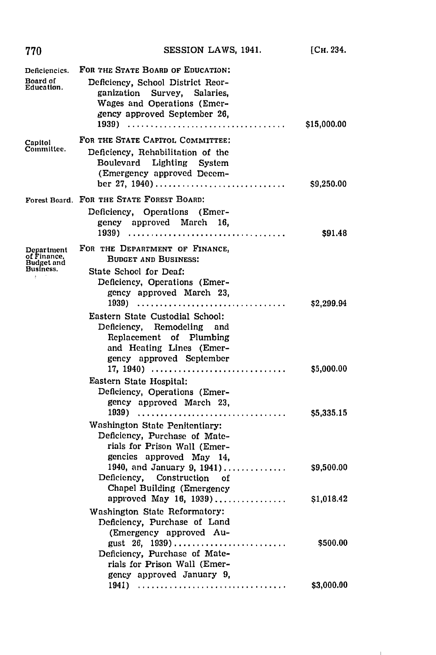| 770                                                                           | SESSION LAWS, 1941.                                                                                                                                                                                                                                                                   | [Сн. 234.   |
|-------------------------------------------------------------------------------|---------------------------------------------------------------------------------------------------------------------------------------------------------------------------------------------------------------------------------------------------------------------------------------|-------------|
| Deficiencics.<br>Board of<br>Education.                                       | FOR THE STATE BOARD OF EDUCATION:<br>Deficiency, School District Reor-<br>ganization Survey, Salaries,<br>Wages and Operations (Emer-<br>gency approved September 26,                                                                                                                 | \$15,000.00 |
| Capitol<br>Committee.                                                         | FOR THE STATE CAPITOL COMMITTEE:<br>Deficiency, Rehabilitation of the<br>Boulevard Lighting System<br>(Emergency approved Decem-<br>ber 27, 1940)                                                                                                                                     | \$9,250.00  |
|                                                                               | Forest Board. FOR THE STATE FOREST BOARD:<br>Deficiency, Operations (Emer-<br>gency approved March 16,                                                                                                                                                                                | \$91.48     |
| Department<br>of Finance,<br><b>Budget and</b><br>Business.<br>$\ddot{\cdot}$ | FOR THE DEPARTMENT OF FINANCE,<br><b>BUDGET AND BUSINESS:</b><br>State School for Deaf:<br>Deficiency, Operations (Emer-<br>gency approved March 23,<br>1939)<br>Eastern State Custodial School:<br>Deficiency, Remodeling and<br>Replacement of Plumbing<br>and Heating Lines (Emer- | \$2,299.94  |
|                                                                               | gency approved September<br>17, 1940)<br>Eastern State Hospital:<br>Deficiency, Operations (Emer-                                                                                                                                                                                     | \$5,000.00  |
|                                                                               | gency approved March 23,<br>1939)<br>Washington State Penitentiary:<br>Deficiency, Purchase of Mate-<br>rials for Prison Wall (Emer-<br>gencies approved May 14,                                                                                                                      | \$5,335.15  |
|                                                                               | 1940, and January 9, 1941)<br>Deficiency, Construction of<br>Chapel Building (Emergency                                                                                                                                                                                               | \$9,500.00  |
|                                                                               | approved May 16, 1939)<br>Washington State Reformatory:<br>Deficiency, Purchase of Land                                                                                                                                                                                               | \$1,018.42  |
|                                                                               | (Emergency approved Au-<br>gust 26, 1939)<br>Deficiency, Purchase of Mate-<br>rials for Prison Wall (Emer-<br>gency approved January 9,                                                                                                                                               | \$500.00    |
|                                                                               | 1941)                                                                                                                                                                                                                                                                                 | \$3,000.00  |

 $\mathbf{I}$